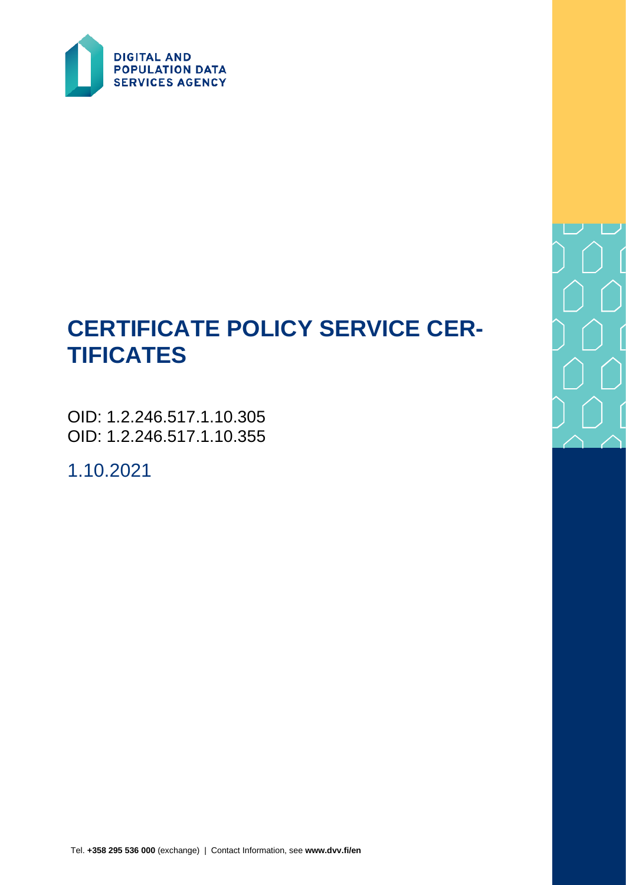

# **CERTIFICATE POLICY SERVICE CER-TIFICATES**

OID: 1.2.246.517.1.10.305 OID: 1.2.246.517.1.10.355

1.10.2021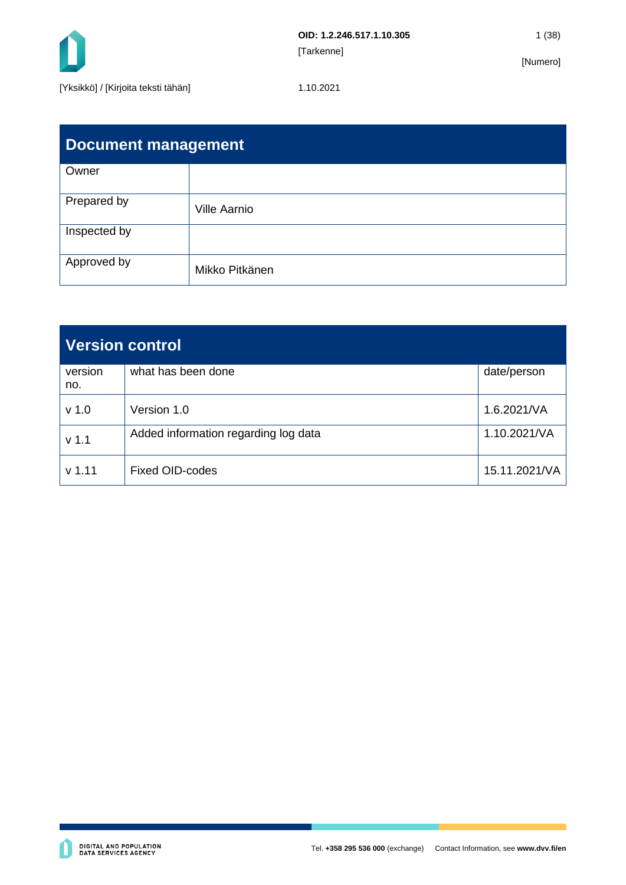

| Document management |                     |  |  |  |  |
|---------------------|---------------------|--|--|--|--|
| Owner               |                     |  |  |  |  |
| Prepared by         | <b>Ville Aarnio</b> |  |  |  |  |
| Inspected by        |                     |  |  |  |  |
| Approved by         | Mikko Pitkänen      |  |  |  |  |

| <b>Version control</b> |                                      |               |  |  |  |
|------------------------|--------------------------------------|---------------|--|--|--|
| version<br>no.         | what has been done                   | date/person   |  |  |  |
| v <sub>1.0</sub>       | Version 1.0                          | 1.6.2021/VA   |  |  |  |
| v <sub>1.1</sub>       | Added information regarding log data | 1.10.2021/VA  |  |  |  |
| $v$ 1.11               | <b>Fixed OID-codes</b>               | 15.11.2021/VA |  |  |  |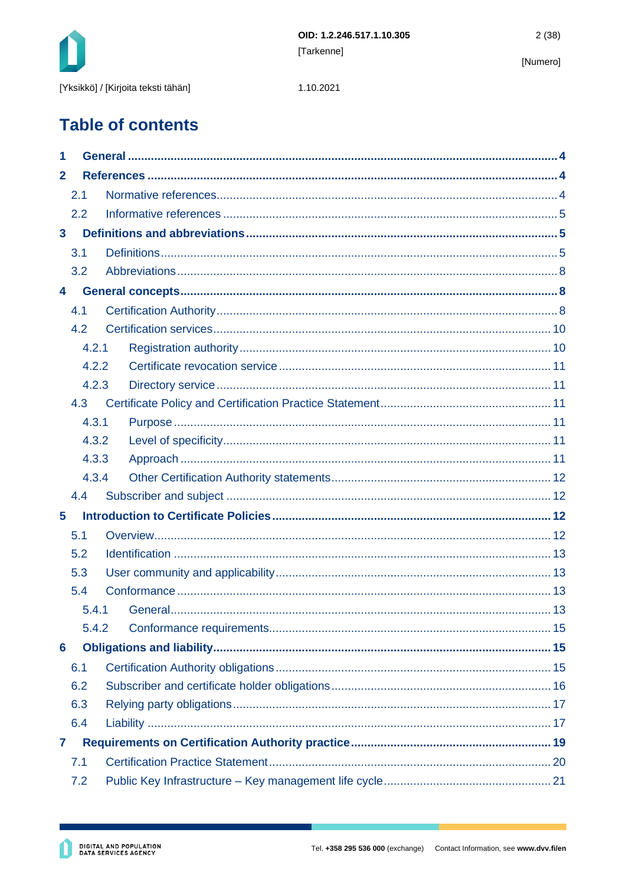

**Table of contents** 

 $\mathbf 1$ 

1.10.2021

| $\overline{2}$          |     |       |  |  |  |  |
|-------------------------|-----|-------|--|--|--|--|
|                         | 2.1 |       |  |  |  |  |
|                         | 2.2 |       |  |  |  |  |
| $\overline{\mathbf{3}}$ |     |       |  |  |  |  |
|                         | 3.1 |       |  |  |  |  |
|                         | 3.2 |       |  |  |  |  |
| 4                       |     |       |  |  |  |  |
|                         | 4.1 |       |  |  |  |  |
|                         | 4.2 |       |  |  |  |  |
|                         |     | 4.2.1 |  |  |  |  |
|                         |     | 4.2.2 |  |  |  |  |
|                         |     | 4.2.3 |  |  |  |  |
|                         | 4.3 |       |  |  |  |  |
|                         |     | 4.3.1 |  |  |  |  |
|                         |     | 4.3.2 |  |  |  |  |
|                         |     | 4.3.3 |  |  |  |  |
|                         |     | 4.3.4 |  |  |  |  |
|                         | 4.4 |       |  |  |  |  |
| 5                       |     |       |  |  |  |  |
|                         | 5.1 |       |  |  |  |  |
|                         | 5.2 |       |  |  |  |  |
|                         | 5.3 |       |  |  |  |  |
|                         | 5.4 |       |  |  |  |  |
|                         |     | 5.4.1 |  |  |  |  |
|                         |     | 5.4.2 |  |  |  |  |
| $6\phantom{a}$          |     |       |  |  |  |  |
|                         | 6.1 |       |  |  |  |  |
|                         | 6.2 |       |  |  |  |  |
|                         | 6.3 |       |  |  |  |  |
|                         | 6.4 |       |  |  |  |  |
| 7                       |     |       |  |  |  |  |
|                         | 7.1 |       |  |  |  |  |

 $7.2$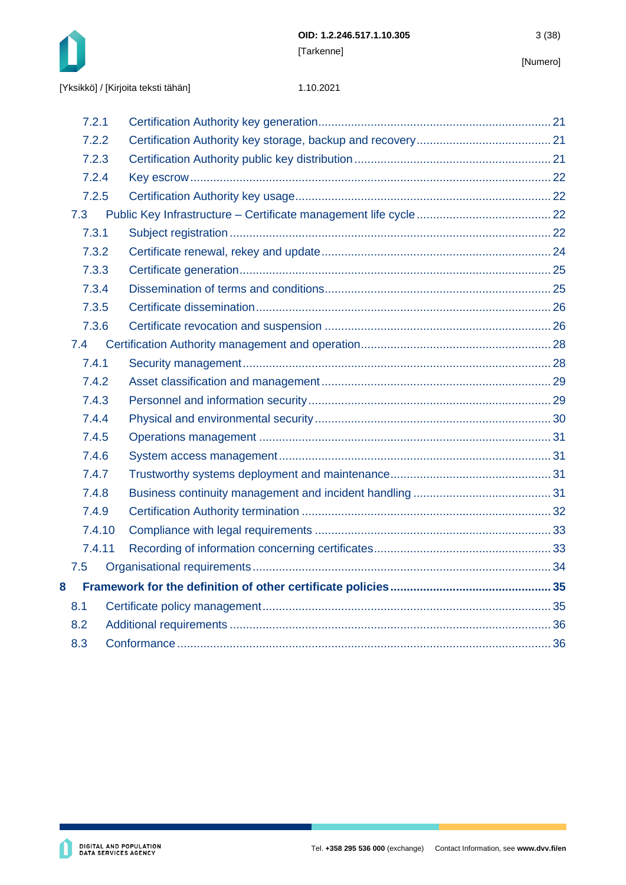

|       | 7.2.1  |  |  |
|-------|--------|--|--|
| 7.2.2 |        |  |  |
| 7.2.3 |        |  |  |
| 7.2.4 |        |  |  |
|       | 7.2.5  |  |  |
|       | 7.3    |  |  |
|       | 7.3.1  |  |  |
|       | 7.3.2  |  |  |
|       | 7.3.3  |  |  |
|       | 7.3.4  |  |  |
|       | 7.3.5  |  |  |
|       | 7.3.6  |  |  |
|       | 7.4    |  |  |
|       | 7.4.1  |  |  |
|       | 7.4.2  |  |  |
|       | 7.4.3  |  |  |
|       | 7.4.4  |  |  |
|       | 7.4.5  |  |  |
|       | 7.4.6  |  |  |
|       | 7.4.7  |  |  |
|       | 7.4.8  |  |  |
| 7.4.9 |        |  |  |
|       | 7.4.10 |  |  |
|       | 7.4.11 |  |  |
|       | 7.5    |  |  |
| 8     |        |  |  |
|       | 8.1    |  |  |
| 8.2   |        |  |  |
| 8.3   |        |  |  |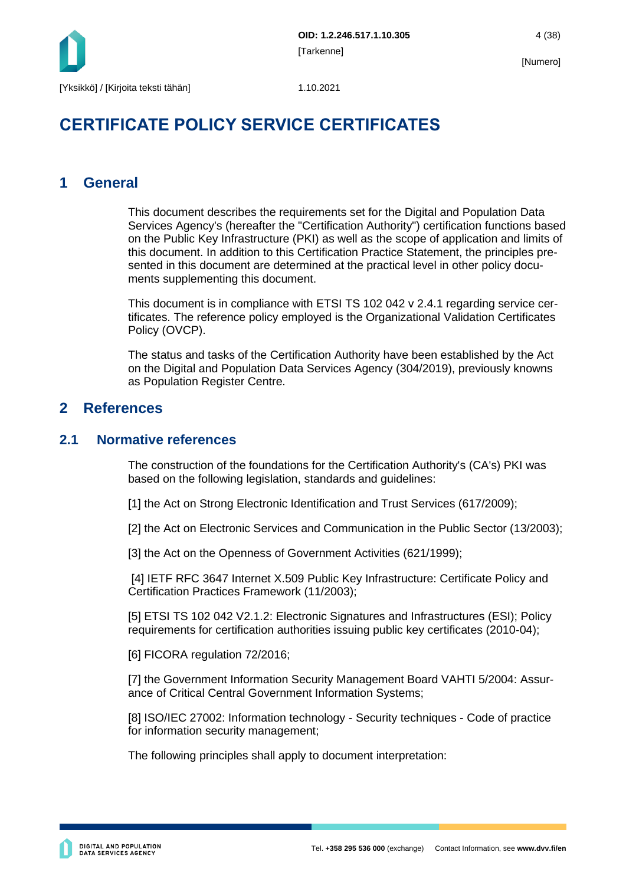

# **CERTIFICATE POLICY SERVICE CERTIFICATES**

# <span id="page-4-0"></span>**1 General**

This document describes the requirements set for the Digital and Population Data Services Agency's (hereafter the "Certification Authority") certification functions based on the Public Key Infrastructure (PKI) as well as the scope of application and limits of this document. In addition to this Certification Practice Statement, the principles presented in this document are determined at the practical level in other policy documents supplementing this document.

This document is in compliance with ETSI TS 102 042 v 2.4.1 regarding service certificates. The reference policy employed is the Organizational Validation Certificates Policy (OVCP).

The status and tasks of the Certification Authority have been established by the Act on the Digital and Population Data Services Agency (304/2019), previously knowns as Population Register Centre.

# <span id="page-4-1"></span>**2 References**

### <span id="page-4-2"></span>**2.1 Normative references**

The construction of the foundations for the Certification Authority's (CA's) PKI was based on the following legislation, standards and guidelines:

[1] the Act on Strong Electronic Identification and Trust Services (617/2009);

[2] the Act on Electronic Services and Communication in the Public Sector (13/2003);

[3] the Act on the Openness of Government Activities (621/1999);

[4] IETF RFC 3647 Internet X.509 Public Key Infrastructure: Certificate Policy and Certification Practices Framework (11/2003);

[5] ETSI TS 102 042 V2.1.2: Electronic Signatures and Infrastructures (ESI); Policy requirements for certification authorities issuing public key certificates (2010-04);

[6] FICORA regulation 72/2016;

[7] the Government Information Security Management Board VAHTI 5/2004: Assurance of Critical Central Government Information Systems;

[8] ISO/IEC 27002: Information technology - Security techniques - Code of practice for information security management;

The following principles shall apply to document interpretation: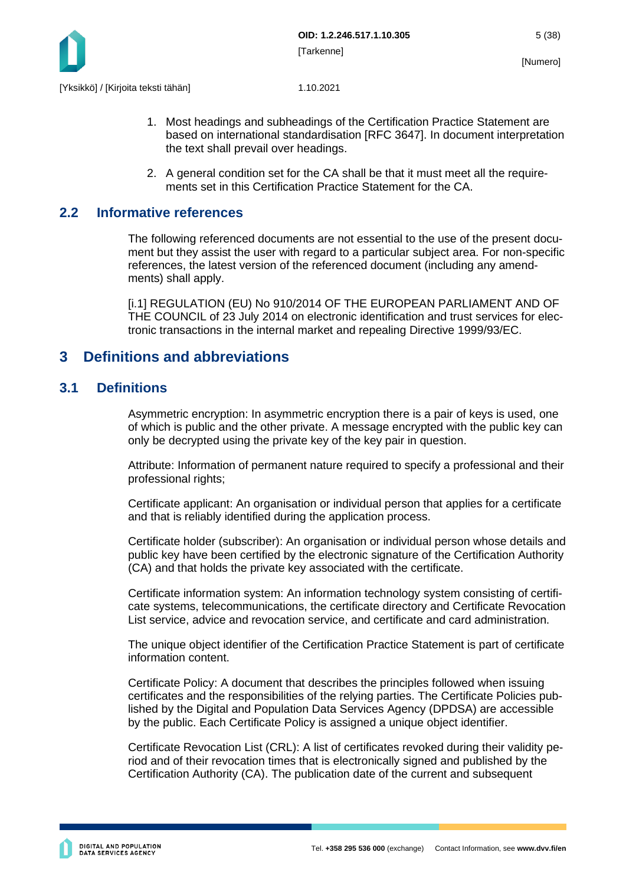

- 1. Most headings and subheadings of the Certification Practice Statement are based on international standardisation [RFC 3647]. In document interpretation the text shall prevail over headings.
- 2. A general condition set for the CA shall be that it must meet all the requirements set in this Certification Practice Statement for the CA.

# <span id="page-5-0"></span>**2.2 Informative references**

The following referenced documents are not essential to the use of the present document but they assist the user with regard to a particular subject area. For non-specific references, the latest version of the referenced document (including any amendments) shall apply.

[i.1] REGULATION (EU) No 910/2014 OF THE EUROPEAN PARLIAMENT AND OF THE COUNCIL of 23 July 2014 on electronic identification and trust services for electronic transactions in the internal market and repealing Directive 1999/93/EC.

# <span id="page-5-1"></span>**3 Definitions and abbreviations**

# <span id="page-5-2"></span>**3.1 Definitions**

Asymmetric encryption: In asymmetric encryption there is a pair of keys is used, one of which is public and the other private. A message encrypted with the public key can only be decrypted using the private key of the key pair in question.

Attribute: Information of permanent nature required to specify a professional and their professional rights;

Certificate applicant: An organisation or individual person that applies for a certificate and that is reliably identified during the application process.

Certificate holder (subscriber): An organisation or individual person whose details and public key have been certified by the electronic signature of the Certification Authority (CA) and that holds the private key associated with the certificate.

Certificate information system: An information technology system consisting of certificate systems, telecommunications, the certificate directory and Certificate Revocation List service, advice and revocation service, and certificate and card administration.

The unique object identifier of the Certification Practice Statement is part of certificate information content.

Certificate Policy: A document that describes the principles followed when issuing certificates and the responsibilities of the relying parties. The Certificate Policies published by the Digital and Population Data Services Agency (DPDSA) are accessible by the public. Each Certificate Policy is assigned a unique object identifier.

Certificate Revocation List (CRL): A list of certificates revoked during their validity period and of their revocation times that is electronically signed and published by the Certification Authority (CA). The publication date of the current and subsequent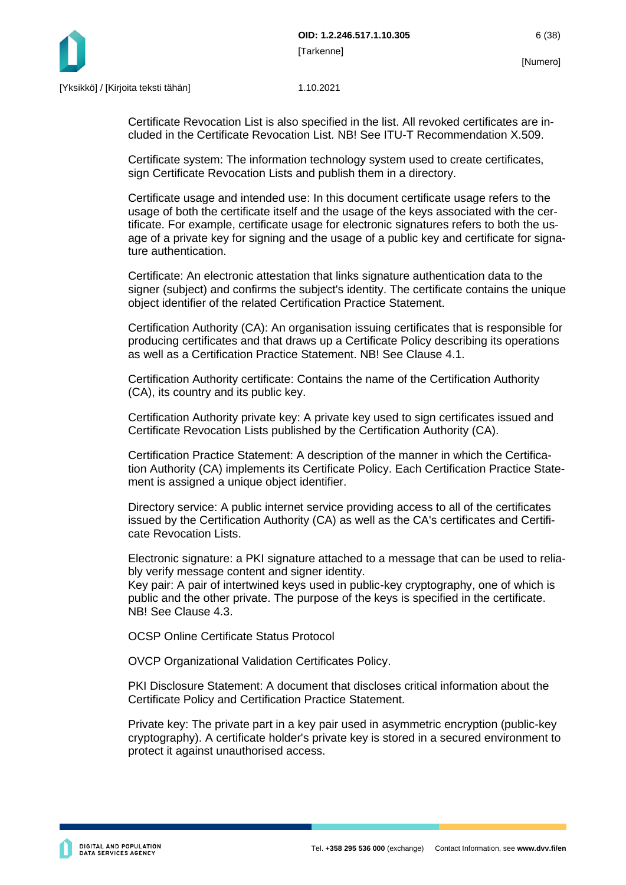

Certificate Revocation List is also specified in the list. All revoked certificates are included in the Certificate Revocation List. NB! See ITU-T Recommendation X.509.

Certificate system: The information technology system used to create certificates, sign Certificate Revocation Lists and publish them in a directory.

Certificate usage and intended use: In this document certificate usage refers to the usage of both the certificate itself and the usage of the keys associated with the certificate. For example, certificate usage for electronic signatures refers to both the usage of a private key for signing and the usage of a public key and certificate for signature authentication.

Certificate: An electronic attestation that links signature authentication data to the signer (subject) and confirms the subject's identity. The certificate contains the unique object identifier of the related Certification Practice Statement.

Certification Authority (CA): An organisation issuing certificates that is responsible for producing certificates and that draws up a Certificate Policy describing its operations as well as a Certification Practice Statement. NB! See Clause 4.1.

Certification Authority certificate: Contains the name of the Certification Authority (CA), its country and its public key.

Certification Authority private key: A private key used to sign certificates issued and Certificate Revocation Lists published by the Certification Authority (CA).

Certification Practice Statement: A description of the manner in which the Certification Authority (CA) implements its Certificate Policy. Each Certification Practice Statement is assigned a unique object identifier.

Directory service: A public internet service providing access to all of the certificates issued by the Certification Authority (CA) as well as the CA's certificates and Certificate Revocation Lists.

Electronic signature: a PKI signature attached to a message that can be used to reliably verify message content and signer identity.

Key pair: A pair of intertwined keys used in public-key cryptography, one of which is public and the other private. The purpose of the keys is specified in the certificate. NB! See Clause 4.3.

OCSP Online Certificate Status Protocol

OVCP Organizational Validation Certificates Policy.

PKI Disclosure Statement: A document that discloses critical information about the Certificate Policy and Certification Practice Statement.

Private key: The private part in a key pair used in asymmetric encryption (public-key cryptography). A certificate holder's private key is stored in a secured environment to protect it against unauthorised access.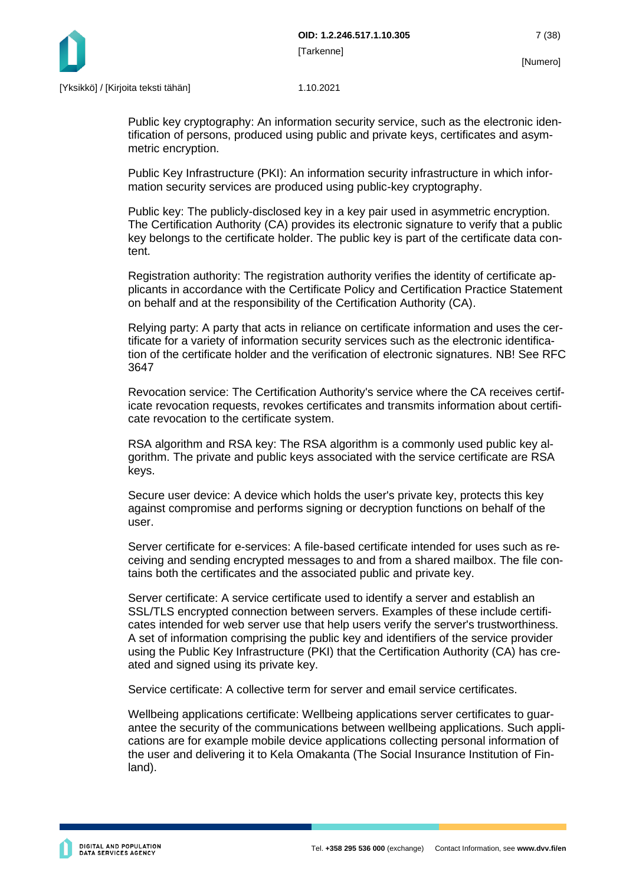

Public key cryptography: An information security service, such as the electronic identification of persons, produced using public and private keys, certificates and asymmetric encryption.

Public Key Infrastructure (PKI): An information security infrastructure in which information security services are produced using public-key cryptography.

Public key: The publicly-disclosed key in a key pair used in asymmetric encryption. The Certification Authority (CA) provides its electronic signature to verify that a public key belongs to the certificate holder. The public key is part of the certificate data content.

Registration authority: The registration authority verifies the identity of certificate applicants in accordance with the Certificate Policy and Certification Practice Statement on behalf and at the responsibility of the Certification Authority (CA).

Relying party: A party that acts in reliance on certificate information and uses the certificate for a variety of information security services such as the electronic identification of the certificate holder and the verification of electronic signatures. NB! See RFC 3647

Revocation service: The Certification Authority's service where the CA receives certificate revocation requests, revokes certificates and transmits information about certificate revocation to the certificate system.

RSA algorithm and RSA key: The RSA algorithm is a commonly used public key algorithm. The private and public keys associated with the service certificate are RSA keys.

Secure user device: A device which holds the user's private key, protects this key against compromise and performs signing or decryption functions on behalf of the user.

Server certificate for e-services: A file-based certificate intended for uses such as receiving and sending encrypted messages to and from a shared mailbox. The file contains both the certificates and the associated public and private key.

Server certificate: A service certificate used to identify a server and establish an SSL/TLS encrypted connection between servers. Examples of these include certificates intended for web server use that help users verify the server's trustworthiness. A set of information comprising the public key and identifiers of the service provider using the Public Key Infrastructure (PKI) that the Certification Authority (CA) has created and signed using its private key.

Service certificate: A collective term for server and email service certificates.

Wellbeing applications certificate: Wellbeing applications server certificates to guarantee the security of the communications between wellbeing applications. Such applications are for example mobile device applications collecting personal information of the user and delivering it to Kela Omakanta (The Social Insurance Institution of Finland).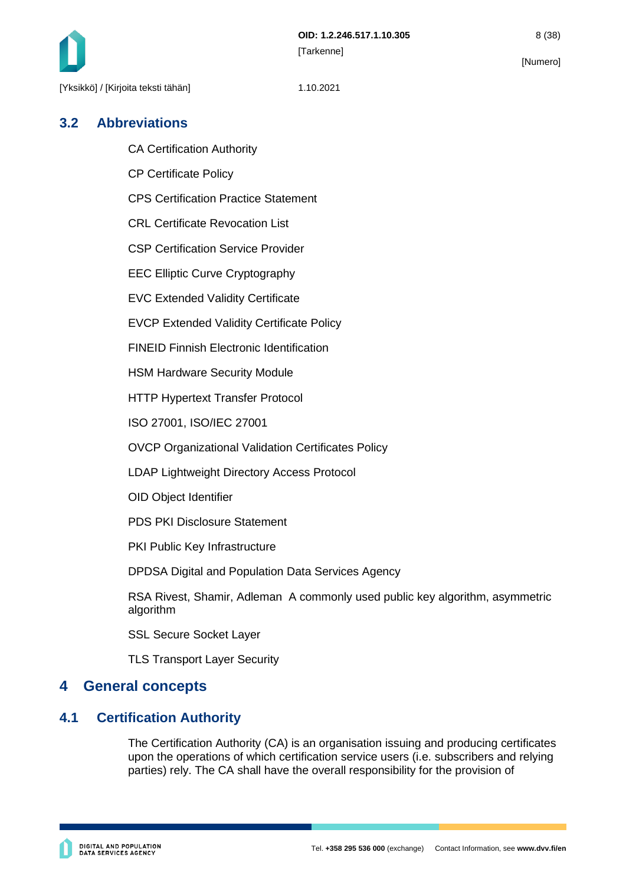# <span id="page-8-0"></span>**3.2 Abbreviations**

CA Certification Authority

CP Certificate Policy

CPS Certification Practice Statement

CRL Certificate Revocation List

CSP Certification Service Provider

EEC Elliptic Curve Cryptography

EVC Extended Validity Certificate

EVCP Extended Validity Certificate Policy

FINEID Finnish Electronic Identification

HSM Hardware Security Module

HTTP Hypertext Transfer Protocol

ISO 27001, ISO/IEC 27001

OVCP Organizational Validation Certificates Policy

LDAP Lightweight Directory Access Protocol

OID Object Identifier

PDS PKI Disclosure Statement

PKI Public Key Infrastructure

DPDSA Digital and Population Data Services Agency

RSA Rivest, Shamir, Adleman A commonly used public key algorithm, asymmetric algorithm

SSL Secure Socket Layer

TLS Transport Layer Security

# <span id="page-8-1"></span>**4 General concepts**

# <span id="page-8-2"></span>**4.1 Certification Authority**

The Certification Authority (CA) is an organisation issuing and producing certificates upon the operations of which certification service users (i.e. subscribers and relying parties) rely. The CA shall have the overall responsibility for the provision of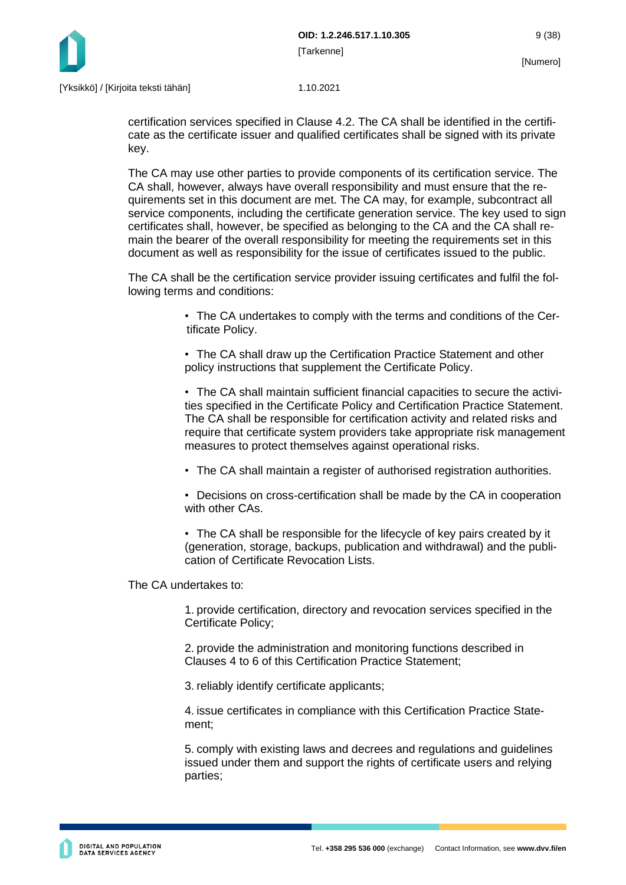

certification services specified in Clause 4.2. The CA shall be identified in the certificate as the certificate issuer and qualified certificates shall be signed with its private key.

The CA may use other parties to provide components of its certification service. The CA shall, however, always have overall responsibility and must ensure that the requirements set in this document are met. The CA may, for example, subcontract all service components, including the certificate generation service. The key used to sign certificates shall, however, be specified as belonging to the CA and the CA shall remain the bearer of the overall responsibility for meeting the requirements set in this document as well as responsibility for the issue of certificates issued to the public.

The CA shall be the certification service provider issuing certificates and fulfil the following terms and conditions:

> • The CA undertakes to comply with the terms and conditions of the Certificate Policy.

• The CA shall draw up the Certification Practice Statement and other policy instructions that supplement the Certificate Policy.

• The CA shall maintain sufficient financial capacities to secure the activities specified in the Certificate Policy and Certification Practice Statement. The CA shall be responsible for certification activity and related risks and require that certificate system providers take appropriate risk management measures to protect themselves against operational risks.

• The CA shall maintain a register of authorised registration authorities.

• Decisions on cross-certification shall be made by the CA in cooperation with other CAs.

• The CA shall be responsible for the lifecycle of key pairs created by it (generation, storage, backups, publication and withdrawal) and the publication of Certificate Revocation Lists.

The CA undertakes to:

1. provide certification, directory and revocation services specified in the Certificate Policy;

2. provide the administration and monitoring functions described in Clauses 4 to 6 of this Certification Practice Statement;

3. reliably identify certificate applicants;

4. issue certificates in compliance with this Certification Practice Statement;

5. comply with existing laws and decrees and regulations and guidelines issued under them and support the rights of certificate users and relying parties;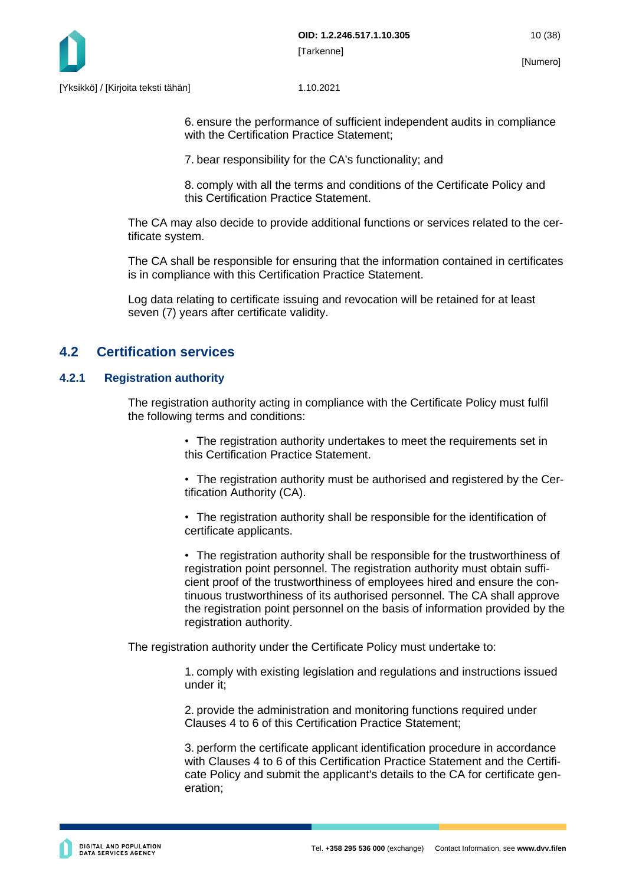

6. ensure the performance of sufficient independent audits in compliance with the Certification Practice Statement:

7. bear responsibility for the CA's functionality; and

8. comply with all the terms and conditions of the Certificate Policy and this Certification Practice Statement.

The CA may also decide to provide additional functions or services related to the certificate system.

The CA shall be responsible for ensuring that the information contained in certificates is in compliance with this Certification Practice Statement.

Log data relating to certificate issuing and revocation will be retained for at least seven (7) years after certificate validity.

# <span id="page-10-0"></span>**4.2 Certification services**

#### <span id="page-10-1"></span>**4.2.1 Registration authority**

The registration authority acting in compliance with the Certificate Policy must fulfil the following terms and conditions:

> • The registration authority undertakes to meet the requirements set in this Certification Practice Statement.

• The registration authority must be authorised and registered by the Certification Authority (CA).

• The registration authority shall be responsible for the identification of certificate applicants.

• The registration authority shall be responsible for the trustworthiness of registration point personnel. The registration authority must obtain sufficient proof of the trustworthiness of employees hired and ensure the continuous trustworthiness of its authorised personnel. The CA shall approve the registration point personnel on the basis of information provided by the registration authority.

The registration authority under the Certificate Policy must undertake to:

1. comply with existing legislation and regulations and instructions issued under it;

2. provide the administration and monitoring functions required under Clauses 4 to 6 of this Certification Practice Statement;

3. perform the certificate applicant identification procedure in accordance with Clauses 4 to 6 of this Certification Practice Statement and the Certificate Policy and submit the applicant's details to the CA for certificate generation;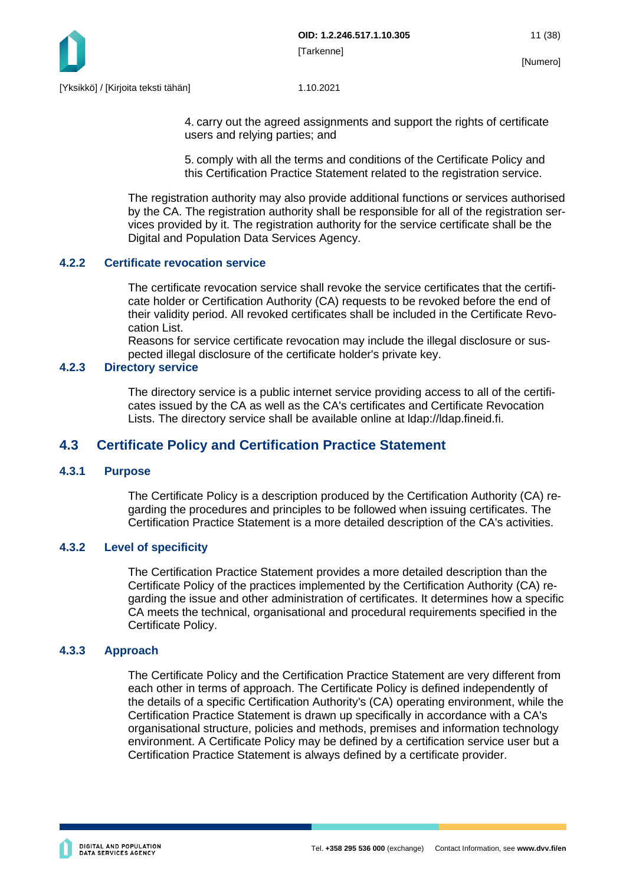

4. carry out the agreed assignments and support the rights of certificate users and relying parties; and

5. comply with all the terms and conditions of the Certificate Policy and this Certification Practice Statement related to the registration service.

The registration authority may also provide additional functions or services authorised by the CA. The registration authority shall be responsible for all of the registration services provided by it. The registration authority for the service certificate shall be the Digital and Population Data Services Agency.

#### <span id="page-11-0"></span>**4.2.2 Certificate revocation service**

The certificate revocation service shall revoke the service certificates that the certificate holder or Certification Authority (CA) requests to be revoked before the end of their validity period. All revoked certificates shall be included in the Certificate Revocation List.

Reasons for service certificate revocation may include the illegal disclosure or suspected illegal disclosure of the certificate holder's private key.

#### <span id="page-11-1"></span>**4.2.3 Directory service**

The directory service is a public internet service providing access to all of the certificates issued by the CA as well as the CA's certificates and Certificate Revocation Lists. The directory service shall be available online at ldap://ldap.fineid.fi.

### <span id="page-11-2"></span>**4.3 Certificate Policy and Certification Practice Statement**

#### <span id="page-11-3"></span>**4.3.1 Purpose**

The Certificate Policy is a description produced by the Certification Authority (CA) regarding the procedures and principles to be followed when issuing certificates. The Certification Practice Statement is a more detailed description of the CA's activities.

#### <span id="page-11-4"></span>**4.3.2 Level of specificity**

The Certification Practice Statement provides a more detailed description than the Certificate Policy of the practices implemented by the Certification Authority (CA) regarding the issue and other administration of certificates. It determines how a specific CA meets the technical, organisational and procedural requirements specified in the Certificate Policy.

#### <span id="page-11-5"></span>**4.3.3 Approach**

The Certificate Policy and the Certification Practice Statement are very different from each other in terms of approach. The Certificate Policy is defined independently of the details of a specific Certification Authority's (CA) operating environment, while the Certification Practice Statement is drawn up specifically in accordance with a CA's organisational structure, policies and methods, premises and information technology environment. A Certificate Policy may be defined by a certification service user but a Certification Practice Statement is always defined by a certificate provider.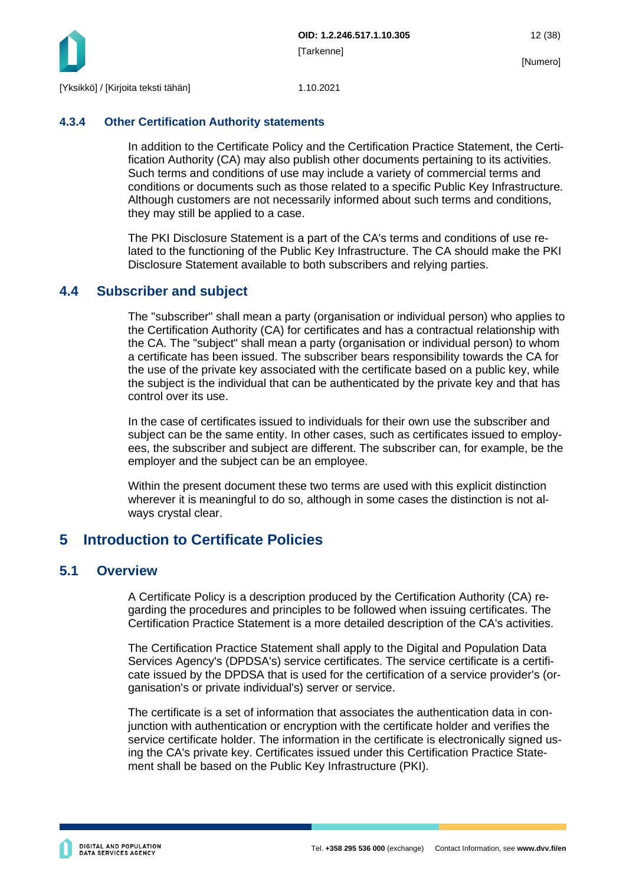

#### <span id="page-12-0"></span>**4.3.4 Other Certification Authority statements**

In addition to the Certificate Policy and the Certification Practice Statement, the Certification Authority (CA) may also publish other documents pertaining to its activities. Such terms and conditions of use may include a variety of commercial terms and conditions or documents such as those related to a specific Public Key Infrastructure. Although customers are not necessarily informed about such terms and conditions, they may still be applied to a case.

The PKI Disclosure Statement is a part of the CA's terms and conditions of use related to the functioning of the Public Key Infrastructure. The CA should make the PKI Disclosure Statement available to both subscribers and relying parties.

### <span id="page-12-1"></span>**4.4 Subscriber and subject**

The "subscriber" shall mean a party (organisation or individual person) who applies to the Certification Authority (CA) for certificates and has a contractual relationship with the CA. The "subject" shall mean a party (organisation or individual person) to whom a certificate has been issued. The subscriber bears responsibility towards the CA for the use of the private key associated with the certificate based on a public key, while the subject is the individual that can be authenticated by the private key and that has control over its use.

In the case of certificates issued to individuals for their own use the subscriber and subject can be the same entity. In other cases, such as certificates issued to employees, the subscriber and subject are different. The subscriber can, for example, be the employer and the subject can be an employee.

Within the present document these two terms are used with this explicit distinction wherever it is meaningful to do so, although in some cases the distinction is not always crystal clear.

# <span id="page-12-2"></span>**5 Introduction to Certificate Policies**

### <span id="page-12-3"></span>**5.1 Overview**

A Certificate Policy is a description produced by the Certification Authority (CA) regarding the procedures and principles to be followed when issuing certificates. The Certification Practice Statement is a more detailed description of the CA's activities.

The Certification Practice Statement shall apply to the Digital and Population Data Services Agency's (DPDSA's) service certificates. The service certificate is a certificate issued by the DPDSA that is used for the certification of a service provider's (organisation's or private individual's) server or service.

The certificate is a set of information that associates the authentication data in conjunction with authentication or encryption with the certificate holder and verifies the service certificate holder. The information in the certificate is electronically signed using the CA's private key. Certificates issued under this Certification Practice Statement shall be based on the Public Key Infrastructure (PKI).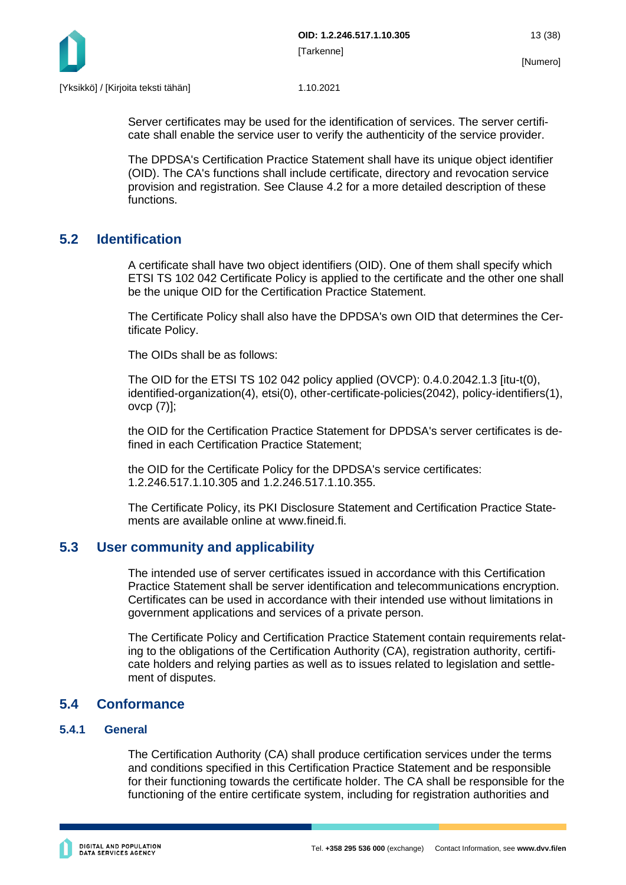

Server certificates may be used for the identification of services. The server certificate shall enable the service user to verify the authenticity of the service provider.

The DPDSA's Certification Practice Statement shall have its unique object identifier (OID). The CA's functions shall include certificate, directory and revocation service provision and registration. See Clause 4.2 for a more detailed description of these functions.

# <span id="page-13-0"></span>**5.2 Identification**

A certificate shall have two object identifiers (OID). One of them shall specify which ETSI TS 102 042 Certificate Policy is applied to the certificate and the other one shall be the unique OID for the Certification Practice Statement.

The Certificate Policy shall also have the DPDSA's own OID that determines the Certificate Policy.

The OIDs shall be as follows:

The OID for the ETSI TS 102 042 policy applied (OVCP): 0.4.0.2042.1.3 [itu-t(0), identified-organization(4), etsi(0), other-certificate-policies(2042), policy-identifiers(1), ovcp (7)];

the OID for the Certification Practice Statement for DPDSA's server certificates is defined in each Certification Practice Statement;

the OID for the Certificate Policy for the DPDSA's service certificates: 1.2.246.517.1.10.305 and 1.2.246.517.1.10.355.

The Certificate Policy, its PKI Disclosure Statement and Certification Practice Statements are available online at www.fineid.fi.

### <span id="page-13-1"></span>**5.3 User community and applicability**

The intended use of server certificates issued in accordance with this Certification Practice Statement shall be server identification and telecommunications encryption. Certificates can be used in accordance with their intended use without limitations in government applications and services of a private person.

The Certificate Policy and Certification Practice Statement contain requirements relating to the obligations of the Certification Authority (CA), registration authority, certificate holders and relying parties as well as to issues related to legislation and settlement of disputes.

### <span id="page-13-2"></span>**5.4 Conformance**

#### <span id="page-13-3"></span>**5.4.1 General**

The Certification Authority (CA) shall produce certification services under the terms and conditions specified in this Certification Practice Statement and be responsible for their functioning towards the certificate holder. The CA shall be responsible for the functioning of the entire certificate system, including for registration authorities and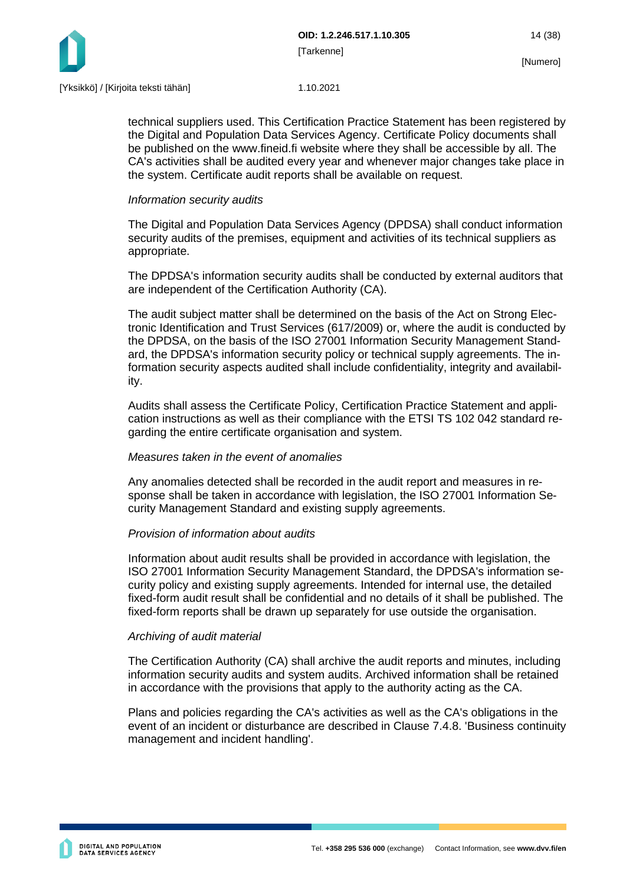

technical suppliers used. This Certification Practice Statement has been registered by the Digital and Population Data Services Agency. Certificate Policy documents shall be published on the www.fineid.fi website where they shall be accessible by all. The CA's activities shall be audited every year and whenever major changes take place in the system. Certificate audit reports shall be available on request.

#### *Information security audits*

The Digital and Population Data Services Agency (DPDSA) shall conduct information security audits of the premises, equipment and activities of its technical suppliers as appropriate.

The DPDSA's information security audits shall be conducted by external auditors that are independent of the Certification Authority (CA).

The audit subject matter shall be determined on the basis of the Act on Strong Electronic Identification and Trust Services (617/2009) or, where the audit is conducted by the DPDSA, on the basis of the ISO 27001 Information Security Management Standard, the DPDSA's information security policy or technical supply agreements. The information security aspects audited shall include confidentiality, integrity and availability.

Audits shall assess the Certificate Policy, Certification Practice Statement and application instructions as well as their compliance with the ETSI TS 102 042 standard regarding the entire certificate organisation and system.

#### *Measures taken in the event of anomalies*

Any anomalies detected shall be recorded in the audit report and measures in response shall be taken in accordance with legislation, the ISO 27001 Information Security Management Standard and existing supply agreements.

#### *Provision of information about audits*

Information about audit results shall be provided in accordance with legislation, the ISO 27001 Information Security Management Standard, the DPDSA's information security policy and existing supply agreements. Intended for internal use, the detailed fixed-form audit result shall be confidential and no details of it shall be published. The fixed-form reports shall be drawn up separately for use outside the organisation.

#### *Archiving of audit material*

The Certification Authority (CA) shall archive the audit reports and minutes, including information security audits and system audits. Archived information shall be retained in accordance with the provisions that apply to the authority acting as the CA.

Plans and policies regarding the CA's activities as well as the CA's obligations in the event of an incident or disturbance are described in Clause 7.4.8. 'Business continuity management and incident handling'.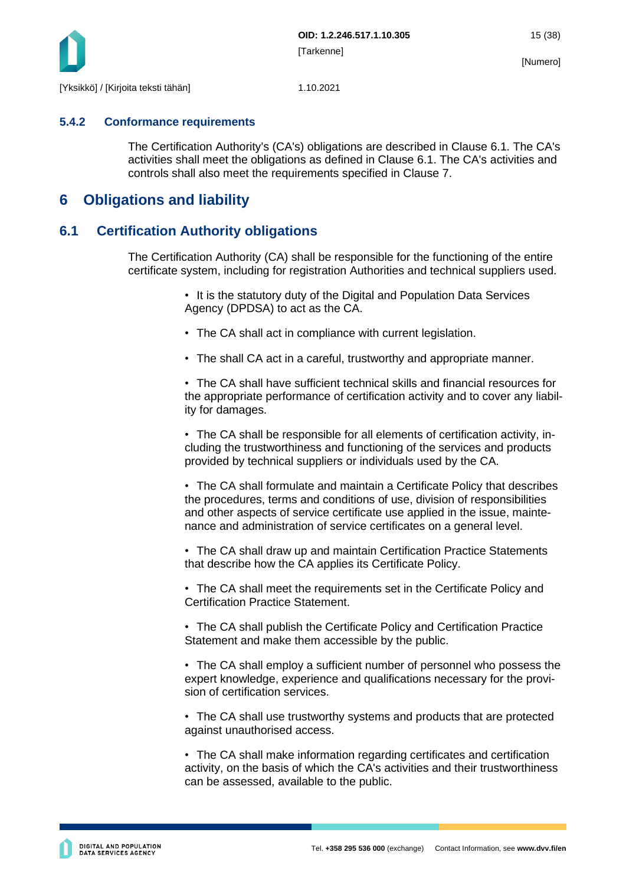

#### <span id="page-15-0"></span>**5.4.2 Conformance requirements**

The Certification Authority's (CA's) obligations are described in Clause 6.1. The CA's activities shall meet the obligations as defined in Clause 6.1. The CA's activities and controls shall also meet the requirements specified in Clause 7.

# <span id="page-15-1"></span>**6 Obligations and liability**

# <span id="page-15-2"></span>**6.1 Certification Authority obligations**

The Certification Authority (CA) shall be responsible for the functioning of the entire certificate system, including for registration Authorities and technical suppliers used.

> • It is the statutory duty of the Digital and Population Data Services Agency (DPDSA) to act as the CA.

- The CA shall act in compliance with current legislation.
- The shall CA act in a careful, trustworthy and appropriate manner.

• The CA shall have sufficient technical skills and financial resources for the appropriate performance of certification activity and to cover any liability for damages.

• The CA shall be responsible for all elements of certification activity, including the trustworthiness and functioning of the services and products provided by technical suppliers or individuals used by the CA.

• The CA shall formulate and maintain a Certificate Policy that describes the procedures, terms and conditions of use, division of responsibilities and other aspects of service certificate use applied in the issue, maintenance and administration of service certificates on a general level.

• The CA shall draw up and maintain Certification Practice Statements that describe how the CA applies its Certificate Policy.

• The CA shall meet the requirements set in the Certificate Policy and Certification Practice Statement.

• The CA shall publish the Certificate Policy and Certification Practice Statement and make them accessible by the public.

• The CA shall employ a sufficient number of personnel who possess the expert knowledge, experience and qualifications necessary for the provision of certification services.

• The CA shall use trustworthy systems and products that are protected against unauthorised access.

• The CA shall make information regarding certificates and certification activity, on the basis of which the CA's activities and their trustworthiness can be assessed, available to the public.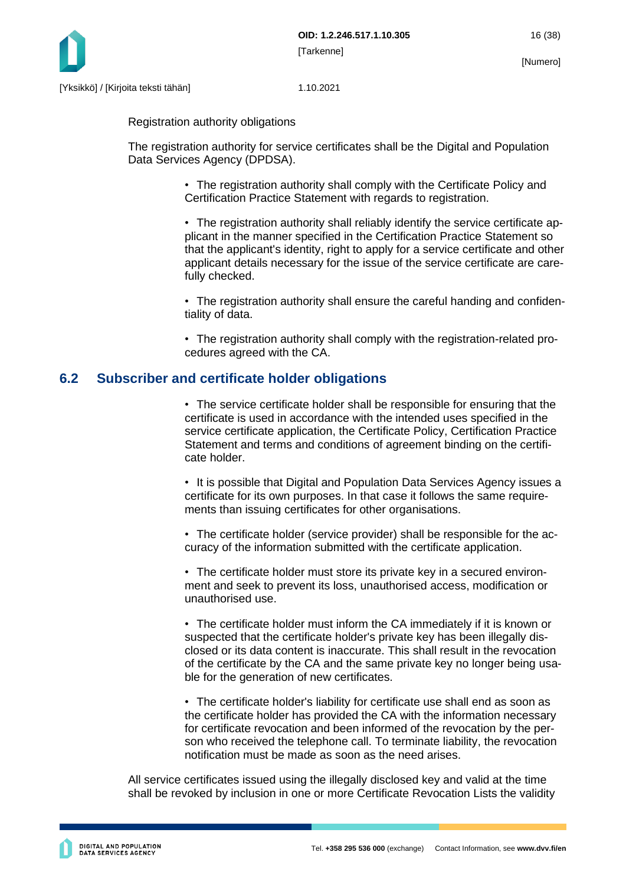

Registration authority obligations

The registration authority for service certificates shall be the Digital and Population Data Services Agency (DPDSA).

> • The registration authority shall comply with the Certificate Policy and Certification Practice Statement with regards to registration.

• The registration authority shall reliably identify the service certificate applicant in the manner specified in the Certification Practice Statement so that the applicant's identity, right to apply for a service certificate and other applicant details necessary for the issue of the service certificate are carefully checked.

• The registration authority shall ensure the careful handing and confidentiality of data.

• The registration authority shall comply with the registration-related procedures agreed with the CA.

### <span id="page-16-0"></span>**6.2 Subscriber and certificate holder obligations**

• The service certificate holder shall be responsible for ensuring that the certificate is used in accordance with the intended uses specified in the service certificate application, the Certificate Policy, Certification Practice Statement and terms and conditions of agreement binding on the certificate holder.

• It is possible that Digital and Population Data Services Agency issues a certificate for its own purposes. In that case it follows the same requirements than issuing certificates for other organisations.

• The certificate holder (service provider) shall be responsible for the accuracy of the information submitted with the certificate application.

• The certificate holder must store its private key in a secured environment and seek to prevent its loss, unauthorised access, modification or unauthorised use.

• The certificate holder must inform the CA immediately if it is known or suspected that the certificate holder's private key has been illegally disclosed or its data content is inaccurate. This shall result in the revocation of the certificate by the CA and the same private key no longer being usable for the generation of new certificates.

• The certificate holder's liability for certificate use shall end as soon as the certificate holder has provided the CA with the information necessary for certificate revocation and been informed of the revocation by the person who received the telephone call. To terminate liability, the revocation notification must be made as soon as the need arises.

All service certificates issued using the illegally disclosed key and valid at the time shall be revoked by inclusion in one or more Certificate Revocation Lists the validity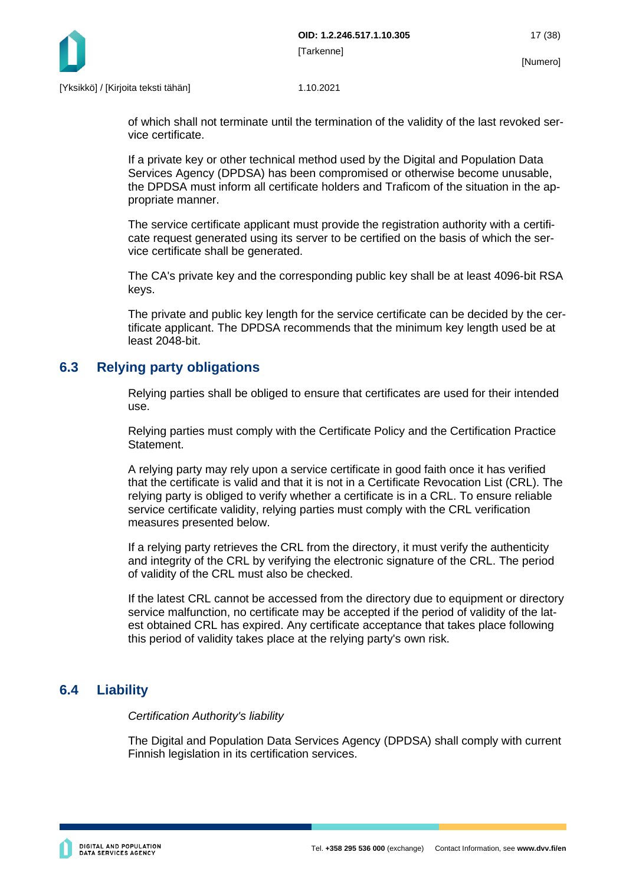

of which shall not terminate until the termination of the validity of the last revoked service certificate.

If a private key or other technical method used by the Digital and Population Data Services Agency (DPDSA) has been compromised or otherwise become unusable, the DPDSA must inform all certificate holders and Traficom of the situation in the appropriate manner.

The service certificate applicant must provide the registration authority with a certificate request generated using its server to be certified on the basis of which the service certificate shall be generated.

The CA's private key and the corresponding public key shall be at least 4096-bit RSA keys.

The private and public key length for the service certificate can be decided by the certificate applicant. The DPDSA recommends that the minimum key length used be at least 2048-bit.

# <span id="page-17-0"></span>**6.3 Relying party obligations**

Relying parties shall be obliged to ensure that certificates are used for their intended use.

Relying parties must comply with the Certificate Policy and the Certification Practice Statement.

A relying party may rely upon a service certificate in good faith once it has verified that the certificate is valid and that it is not in a Certificate Revocation List (CRL). The relying party is obliged to verify whether a certificate is in a CRL. To ensure reliable service certificate validity, relying parties must comply with the CRL verification measures presented below.

If a relying party retrieves the CRL from the directory, it must verify the authenticity and integrity of the CRL by verifying the electronic signature of the CRL. The period of validity of the CRL must also be checked.

If the latest CRL cannot be accessed from the directory due to equipment or directory service malfunction, no certificate may be accepted if the period of validity of the latest obtained CRL has expired. Any certificate acceptance that takes place following this period of validity takes place at the relying party's own risk.

# <span id="page-17-1"></span>**6.4 Liability**

#### *Certification Authority's liability*

The Digital and Population Data Services Agency (DPDSA) shall comply with current Finnish legislation in its certification services.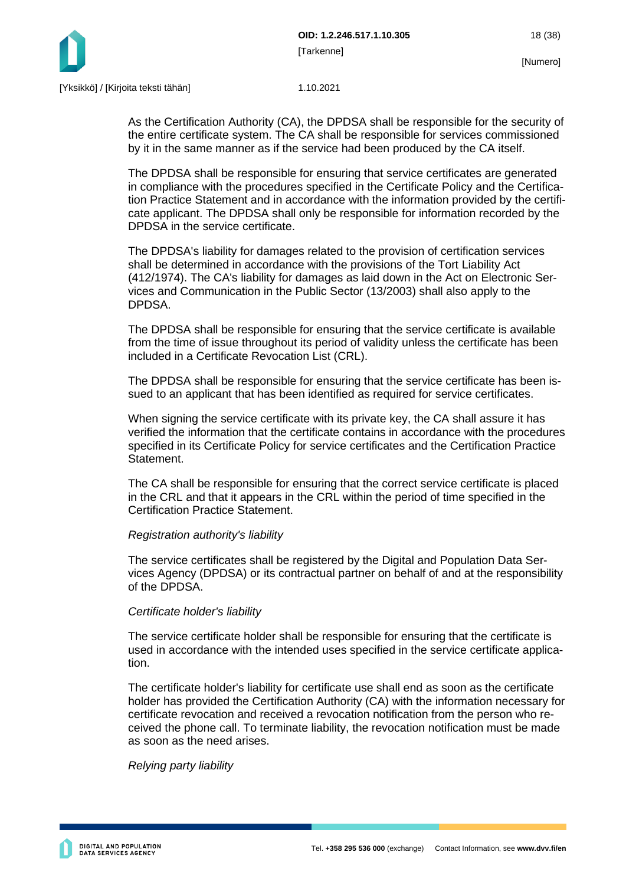

As the Certification Authority (CA), the DPDSA shall be responsible for the security of the entire certificate system. The CA shall be responsible for services commissioned by it in the same manner as if the service had been produced by the CA itself.

The DPDSA shall be responsible for ensuring that service certificates are generated in compliance with the procedures specified in the Certificate Policy and the Certification Practice Statement and in accordance with the information provided by the certificate applicant. The DPDSA shall only be responsible for information recorded by the DPDSA in the service certificate.

The DPDSA's liability for damages related to the provision of certification services shall be determined in accordance with the provisions of the Tort Liability Act (412/1974). The CA's liability for damages as laid down in the Act on Electronic Services and Communication in the Public Sector (13/2003) shall also apply to the DPDSA.

The DPDSA shall be responsible for ensuring that the service certificate is available from the time of issue throughout its period of validity unless the certificate has been included in a Certificate Revocation List (CRL).

The DPDSA shall be responsible for ensuring that the service certificate has been issued to an applicant that has been identified as required for service certificates.

When signing the service certificate with its private key, the CA shall assure it has verified the information that the certificate contains in accordance with the procedures specified in its Certificate Policy for service certificates and the Certification Practice Statement.

The CA shall be responsible for ensuring that the correct service certificate is placed in the CRL and that it appears in the CRL within the period of time specified in the Certification Practice Statement.

#### *Registration authority's liability*

The service certificates shall be registered by the Digital and Population Data Services Agency (DPDSA) or its contractual partner on behalf of and at the responsibility of the DPDSA.

#### *Certificate holder's liability*

The service certificate holder shall be responsible for ensuring that the certificate is used in accordance with the intended uses specified in the service certificate application.

The certificate holder's liability for certificate use shall end as soon as the certificate holder has provided the Certification Authority (CA) with the information necessary for certificate revocation and received a revocation notification from the person who received the phone call. To terminate liability, the revocation notification must be made as soon as the need arises.

#### *Relying party liability*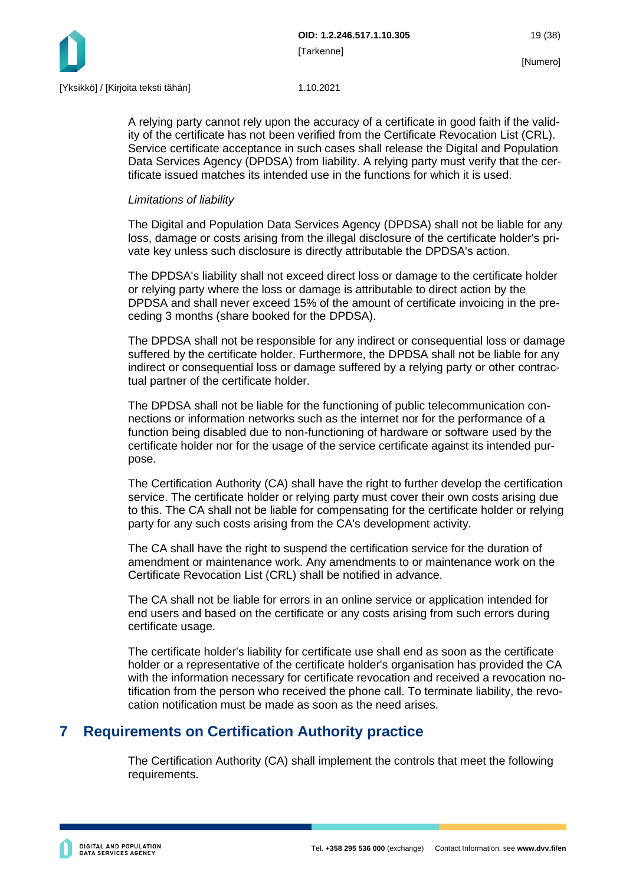

A relying party cannot rely upon the accuracy of a certificate in good faith if the validity of the certificate has not been verified from the Certificate Revocation List (CRL). Service certificate acceptance in such cases shall release the Digital and Population Data Services Agency (DPDSA) from liability. A relying party must verify that the certificate issued matches its intended use in the functions for which it is used.

#### *Limitations of liability*

The Digital and Population Data Services Agency (DPDSA) shall not be liable for any loss, damage or costs arising from the illegal disclosure of the certificate holder's private key unless such disclosure is directly attributable the DPDSA's action.

The DPDSA's liability shall not exceed direct loss or damage to the certificate holder or relying party where the loss or damage is attributable to direct action by the DPDSA and shall never exceed 15% of the amount of certificate invoicing in the preceding 3 months (share booked for the DPDSA).

The DPDSA shall not be responsible for any indirect or consequential loss or damage suffered by the certificate holder. Furthermore, the DPDSA shall not be liable for any indirect or consequential loss or damage suffered by a relying party or other contractual partner of the certificate holder.

The DPDSA shall not be liable for the functioning of public telecommunication connections or information networks such as the internet nor for the performance of a function being disabled due to non-functioning of hardware or software used by the certificate holder nor for the usage of the service certificate against its intended purpose.

The Certification Authority (CA) shall have the right to further develop the certification service. The certificate holder or relying party must cover their own costs arising due to this. The CA shall not be liable for compensating for the certificate holder or relying party for any such costs arising from the CA's development activity.

The CA shall have the right to suspend the certification service for the duration of amendment or maintenance work. Any amendments to or maintenance work on the Certificate Revocation List (CRL) shall be notified in advance.

The CA shall not be liable for errors in an online service or application intended for end users and based on the certificate or any costs arising from such errors during certificate usage.

The certificate holder's liability for certificate use shall end as soon as the certificate holder or a representative of the certificate holder's organisation has provided the CA with the information necessary for certificate revocation and received a revocation notification from the person who received the phone call. To terminate liability, the revocation notification must be made as soon as the need arises.

# <span id="page-19-0"></span>**7 Requirements on Certification Authority practice**

The Certification Authority (CA) shall implement the controls that meet the following requirements.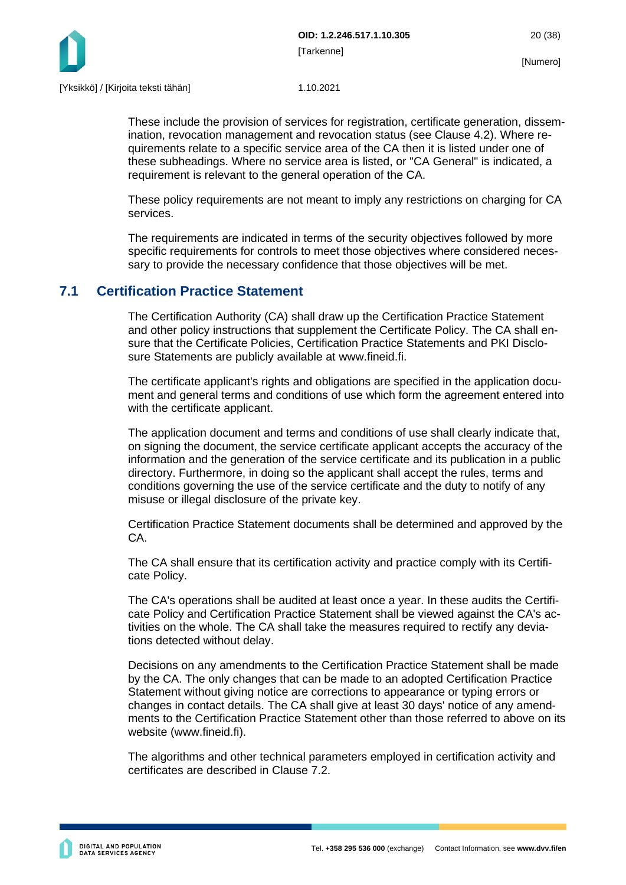

These include the provision of services for registration, certificate generation, dissemination, revocation management and revocation status (see Clause 4.2). Where requirements relate to a specific service area of the CA then it is listed under one of these subheadings. Where no service area is listed, or "CA General" is indicated, a requirement is relevant to the general operation of the CA.

These policy requirements are not meant to imply any restrictions on charging for CA services.

The requirements are indicated in terms of the security objectives followed by more specific requirements for controls to meet those objectives where considered necessary to provide the necessary confidence that those objectives will be met.

# <span id="page-20-0"></span>**7.1 Certification Practice Statement**

The Certification Authority (CA) shall draw up the Certification Practice Statement and other policy instructions that supplement the Certificate Policy. The CA shall ensure that the Certificate Policies, Certification Practice Statements and PKI Disclosure Statements are publicly available at www.fineid.fi.

The certificate applicant's rights and obligations are specified in the application document and general terms and conditions of use which form the agreement entered into with the certificate applicant.

The application document and terms and conditions of use shall clearly indicate that, on signing the document, the service certificate applicant accepts the accuracy of the information and the generation of the service certificate and its publication in a public directory. Furthermore, in doing so the applicant shall accept the rules, terms and conditions governing the use of the service certificate and the duty to notify of any misuse or illegal disclosure of the private key.

Certification Practice Statement documents shall be determined and approved by the  $CA$ 

The CA shall ensure that its certification activity and practice comply with its Certificate Policy.

The CA's operations shall be audited at least once a year. In these audits the Certificate Policy and Certification Practice Statement shall be viewed against the CA's activities on the whole. The CA shall take the measures required to rectify any deviations detected without delay.

Decisions on any amendments to the Certification Practice Statement shall be made by the CA. The only changes that can be made to an adopted Certification Practice Statement without giving notice are corrections to appearance or typing errors or changes in contact details. The CA shall give at least 30 days' notice of any amendments to the Certification Practice Statement other than those referred to above on its website (www.fineid.fi).

The algorithms and other technical parameters employed in certification activity and certificates are described in Clause 7.2.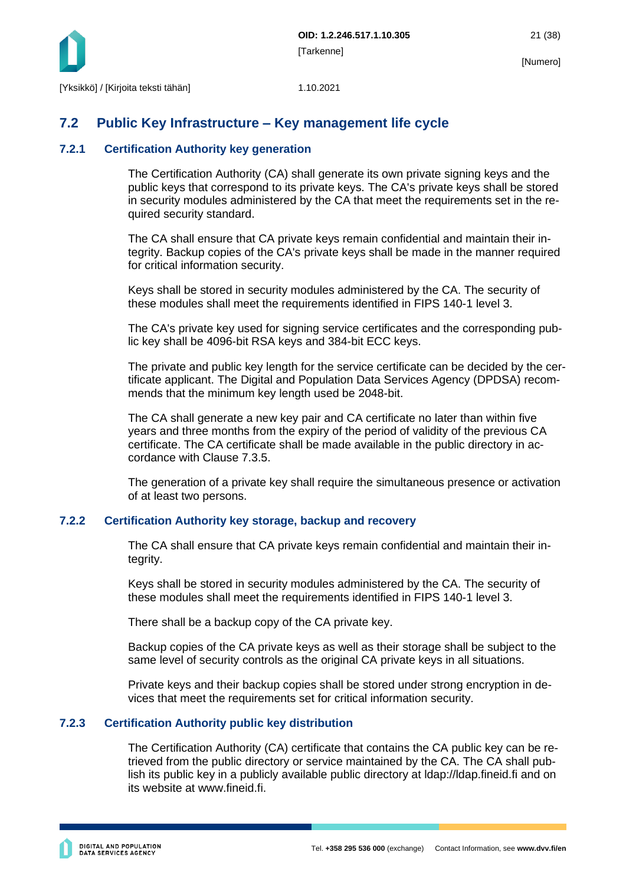

# <span id="page-21-0"></span>**7.2 Public Key Infrastructure – Key management life cycle**

#### <span id="page-21-1"></span>**7.2.1 Certification Authority key generation**

The Certification Authority (CA) shall generate its own private signing keys and the public keys that correspond to its private keys. The CA's private keys shall be stored in security modules administered by the CA that meet the requirements set in the required security standard.

The CA shall ensure that CA private keys remain confidential and maintain their integrity. Backup copies of the CA's private keys shall be made in the manner required for critical information security.

Keys shall be stored in security modules administered by the CA. The security of these modules shall meet the requirements identified in FIPS 140-1 level 3.

The CA's private key used for signing service certificates and the corresponding public key shall be 4096-bit RSA keys and 384-bit ECC keys.

The private and public key length for the service certificate can be decided by the certificate applicant. The Digital and Population Data Services Agency (DPDSA) recommends that the minimum key length used be 2048-bit.

The CA shall generate a new key pair and CA certificate no later than within five years and three months from the expiry of the period of validity of the previous CA certificate. The CA certificate shall be made available in the public directory in accordance with Clause 7.3.5.

The generation of a private key shall require the simultaneous presence or activation of at least two persons.

#### <span id="page-21-2"></span>**7.2.2 Certification Authority key storage, backup and recovery**

The CA shall ensure that CA private keys remain confidential and maintain their integrity.

Keys shall be stored in security modules administered by the CA. The security of these modules shall meet the requirements identified in FIPS 140-1 level 3.

There shall be a backup copy of the CA private key.

Backup copies of the CA private keys as well as their storage shall be subject to the same level of security controls as the original CA private keys in all situations.

Private keys and their backup copies shall be stored under strong encryption in devices that meet the requirements set for critical information security.

#### <span id="page-21-3"></span>**7.2.3 Certification Authority public key distribution**

The Certification Authority (CA) certificate that contains the CA public key can be retrieved from the public directory or service maintained by the CA. The CA shall publish its public key in a publicly available public directory at ldap://ldap.fineid.fi and on its website at www.fineid.fi.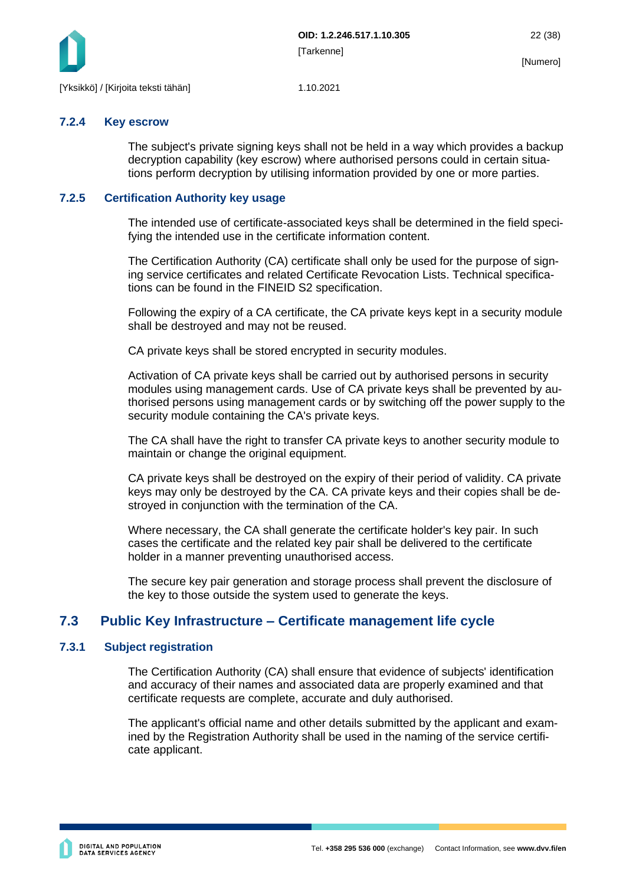

#### <span id="page-22-0"></span>**7.2.4 Key escrow**

The subject's private signing keys shall not be held in a way which provides a backup decryption capability (key escrow) where authorised persons could in certain situations perform decryption by utilising information provided by one or more parties.

#### <span id="page-22-1"></span>**7.2.5 Certification Authority key usage**

The intended use of certificate-associated keys shall be determined in the field specifying the intended use in the certificate information content.

The Certification Authority (CA) certificate shall only be used for the purpose of signing service certificates and related Certificate Revocation Lists. Technical specifications can be found in the FINEID S2 specification.

Following the expiry of a CA certificate, the CA private keys kept in a security module shall be destroyed and may not be reused.

CA private keys shall be stored encrypted in security modules.

Activation of CA private keys shall be carried out by authorised persons in security modules using management cards. Use of CA private keys shall be prevented by authorised persons using management cards or by switching off the power supply to the security module containing the CA's private keys.

The CA shall have the right to transfer CA private keys to another security module to maintain or change the original equipment.

CA private keys shall be destroyed on the expiry of their period of validity. CA private keys may only be destroyed by the CA. CA private keys and their copies shall be destroyed in conjunction with the termination of the CA.

Where necessary, the CA shall generate the certificate holder's key pair. In such cases the certificate and the related key pair shall be delivered to the certificate holder in a manner preventing unauthorised access.

The secure key pair generation and storage process shall prevent the disclosure of the key to those outside the system used to generate the keys.

# <span id="page-22-2"></span>**7.3 Public Key Infrastructure – Certificate management life cycle**

# <span id="page-22-3"></span>**7.3.1 Subject registration**

The Certification Authority (CA) shall ensure that evidence of subjects' identification and accuracy of their names and associated data are properly examined and that certificate requests are complete, accurate and duly authorised.

The applicant's official name and other details submitted by the applicant and examined by the Registration Authority shall be used in the naming of the service certificate applicant.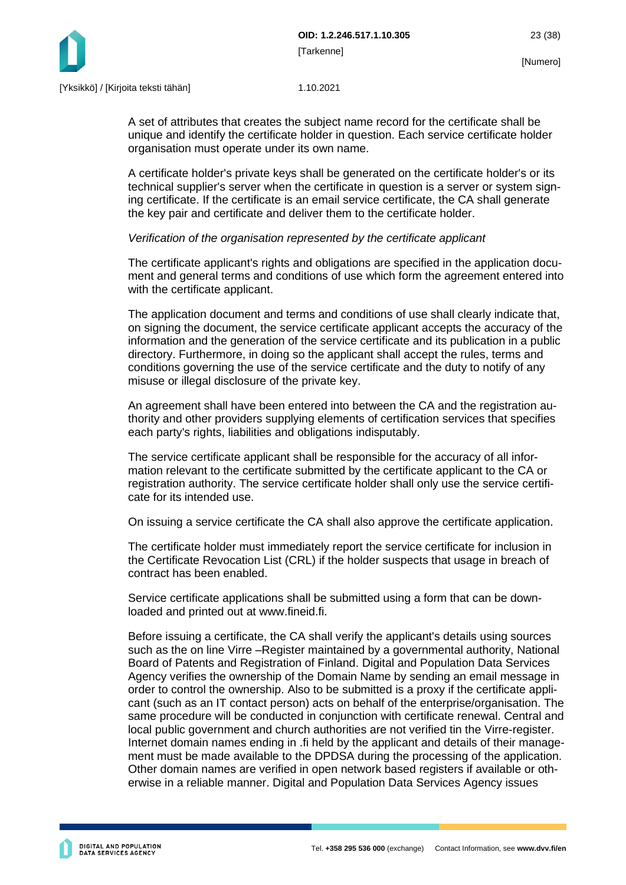



A set of attributes that creates the subject name record for the certificate shall be unique and identify the certificate holder in question. Each service certificate holder organisation must operate under its own name.

A certificate holder's private keys shall be generated on the certificate holder's or its technical supplier's server when the certificate in question is a server or system signing certificate. If the certificate is an email service certificate, the CA shall generate the key pair and certificate and deliver them to the certificate holder.

#### *Verification of the organisation represented by the certificate applicant*

The certificate applicant's rights and obligations are specified in the application document and general terms and conditions of use which form the agreement entered into with the certificate applicant.

The application document and terms and conditions of use shall clearly indicate that, on signing the document, the service certificate applicant accepts the accuracy of the information and the generation of the service certificate and its publication in a public directory. Furthermore, in doing so the applicant shall accept the rules, terms and conditions governing the use of the service certificate and the duty to notify of any misuse or illegal disclosure of the private key.

An agreement shall have been entered into between the CA and the registration authority and other providers supplying elements of certification services that specifies each party's rights, liabilities and obligations indisputably.

The service certificate applicant shall be responsible for the accuracy of all information relevant to the certificate submitted by the certificate applicant to the CA or registration authority. The service certificate holder shall only use the service certificate for its intended use.

On issuing a service certificate the CA shall also approve the certificate application.

The certificate holder must immediately report the service certificate for inclusion in the Certificate Revocation List (CRL) if the holder suspects that usage in breach of contract has been enabled.

Service certificate applications shall be submitted using a form that can be downloaded and printed out at www.fineid.fi.

Before issuing a certificate, the CA shall verify the applicant's details using sources such as the on line Virre –Register maintained by a governmental authority, National Board of Patents and Registration of Finland. Digital and Population Data Services Agency verifies the ownership of the Domain Name by sending an email message in order to control the ownership. Also to be submitted is a proxy if the certificate applicant (such as an IT contact person) acts on behalf of the enterprise/organisation. The same procedure will be conducted in conjunction with certificate renewal. Central and local public government and church authorities are not verified tin the Virre-register. Internet domain names ending in .fi held by the applicant and details of their management must be made available to the DPDSA during the processing of the application. Other domain names are verified in open network based registers if available or otherwise in a reliable manner. Digital and Population Data Services Agency issues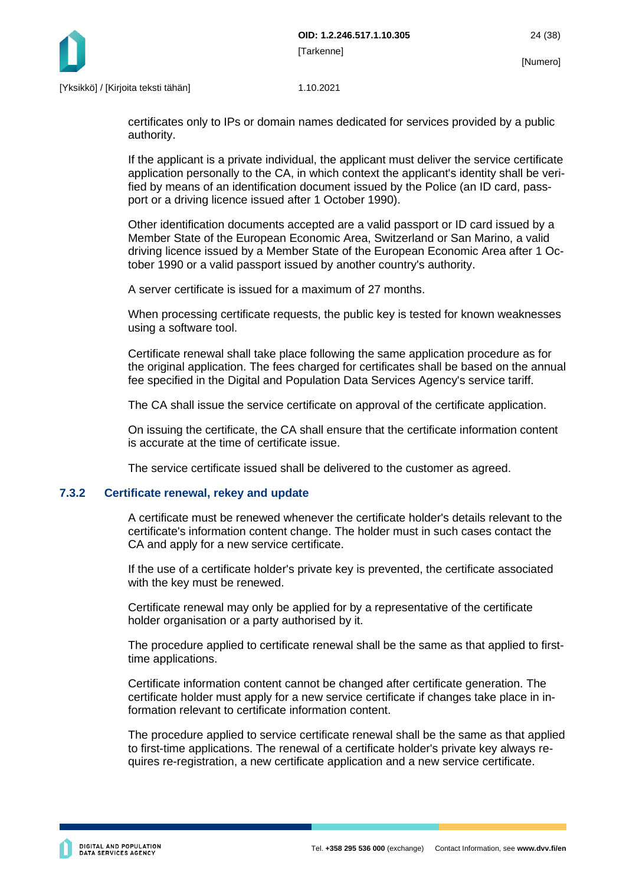

certificates only to IPs or domain names dedicated for services provided by a public authority.

If the applicant is a private individual, the applicant must deliver the service certificate application personally to the CA, in which context the applicant's identity shall be verified by means of an identification document issued by the Police (an ID card, passport or a driving licence issued after 1 October 1990).

Other identification documents accepted are a valid passport or ID card issued by a Member State of the European Economic Area, Switzerland or San Marino, a valid driving licence issued by a Member State of the European Economic Area after 1 October 1990 or a valid passport issued by another country's authority.

A server certificate is issued for a maximum of 27 months.

When processing certificate requests, the public key is tested for known weaknesses using a software tool.

Certificate renewal shall take place following the same application procedure as for the original application. The fees charged for certificates shall be based on the annual fee specified in the Digital and Population Data Services Agency's service tariff.

The CA shall issue the service certificate on approval of the certificate application.

On issuing the certificate, the CA shall ensure that the certificate information content is accurate at the time of certificate issue.

The service certificate issued shall be delivered to the customer as agreed.

#### <span id="page-24-0"></span>**7.3.2 Certificate renewal, rekey and update**

A certificate must be renewed whenever the certificate holder's details relevant to the certificate's information content change. The holder must in such cases contact the CA and apply for a new service certificate.

If the use of a certificate holder's private key is prevented, the certificate associated with the key must be renewed.

Certificate renewal may only be applied for by a representative of the certificate holder organisation or a party authorised by it.

The procedure applied to certificate renewal shall be the same as that applied to firsttime applications.

Certificate information content cannot be changed after certificate generation. The certificate holder must apply for a new service certificate if changes take place in information relevant to certificate information content.

The procedure applied to service certificate renewal shall be the same as that applied to first-time applications. The renewal of a certificate holder's private key always requires re-registration, a new certificate application and a new service certificate.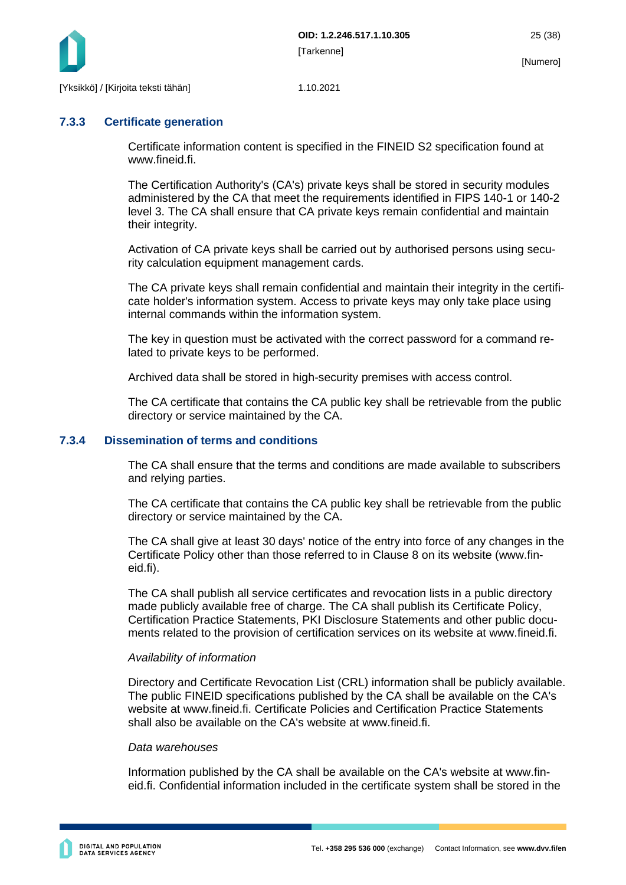

#### <span id="page-25-0"></span>**7.3.3 Certificate generation**

Certificate information content is specified in the FINEID S2 specification found at www.fineid.fi.

The Certification Authority's (CA's) private keys shall be stored in security modules administered by the CA that meet the requirements identified in FIPS 140-1 or 140-2 level 3. The CA shall ensure that CA private keys remain confidential and maintain their integrity.

Activation of CA private keys shall be carried out by authorised persons using security calculation equipment management cards.

The CA private keys shall remain confidential and maintain their integrity in the certificate holder's information system. Access to private keys may only take place using internal commands within the information system.

The key in question must be activated with the correct password for a command related to private keys to be performed.

Archived data shall be stored in high-security premises with access control.

The CA certificate that contains the CA public key shall be retrievable from the public directory or service maintained by the CA.

#### <span id="page-25-1"></span>**7.3.4 Dissemination of terms and conditions**

The CA shall ensure that the terms and conditions are made available to subscribers and relying parties.

The CA certificate that contains the CA public key shall be retrievable from the public directory or service maintained by the CA.

The CA shall give at least 30 days' notice of the entry into force of any changes in the Certificate Policy other than those referred to in Clause 8 on its website (www.fineid.fi).

The CA shall publish all service certificates and revocation lists in a public directory made publicly available free of charge. The CA shall publish its Certificate Policy, Certification Practice Statements, PKI Disclosure Statements and other public documents related to the provision of certification services on its website at www.fineid.fi.

#### *Availability of information*

Directory and Certificate Revocation List (CRL) information shall be publicly available. The public FINEID specifications published by the CA shall be available on the CA's website at www.fineid.fi. Certificate Policies and Certification Practice Statements shall also be available on the CA's website at www.fineid.fi.

#### *Data warehouses*

Information published by the CA shall be available on the CA's website at www.fineid.fi. Confidential information included in the certificate system shall be stored in the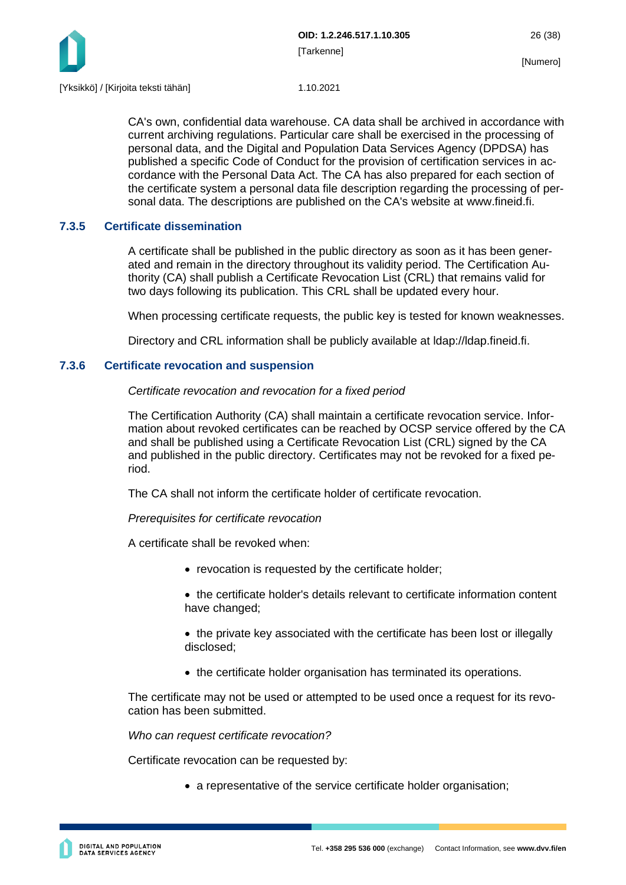

CA's own, confidential data warehouse. CA data shall be archived in accordance with current archiving regulations. Particular care shall be exercised in the processing of personal data, and the Digital and Population Data Services Agency (DPDSA) has published a specific Code of Conduct for the provision of certification services in accordance with the Personal Data Act. The CA has also prepared for each section of the certificate system a personal data file description regarding the processing of personal data. The descriptions are published on the CA's website at www.fineid.fi.

#### <span id="page-26-0"></span>**7.3.5 Certificate dissemination**

A certificate shall be published in the public directory as soon as it has been generated and remain in the directory throughout its validity period. The Certification Authority (CA) shall publish a Certificate Revocation List (CRL) that remains valid for two days following its publication. This CRL shall be updated every hour.

When processing certificate requests, the public key is tested for known weaknesses.

Directory and CRL information shall be publicly available at ldap://ldap.fineid.fi.

#### <span id="page-26-1"></span>**7.3.6 Certificate revocation and suspension**

#### *Certificate revocation and revocation for a fixed period*

The Certification Authority (CA) shall maintain a certificate revocation service. Information about revoked certificates can be reached by OCSP service offered by the CA and shall be published using a Certificate Revocation List (CRL) signed by the CA and published in the public directory. Certificates may not be revoked for a fixed period.

The CA shall not inform the certificate holder of certificate revocation.

#### *Prerequisites for certificate revocation*

A certificate shall be revoked when:

- revocation is requested by the certificate holder;
- the certificate holder's details relevant to certificate information content have changed;
- the private key associated with the certificate has been lost or illegally disclosed;
- the certificate holder organisation has terminated its operations.

The certificate may not be used or attempted to be used once a request for its revocation has been submitted.

*Who can request certificate revocation?*

Certificate revocation can be requested by:

• a representative of the service certificate holder organisation;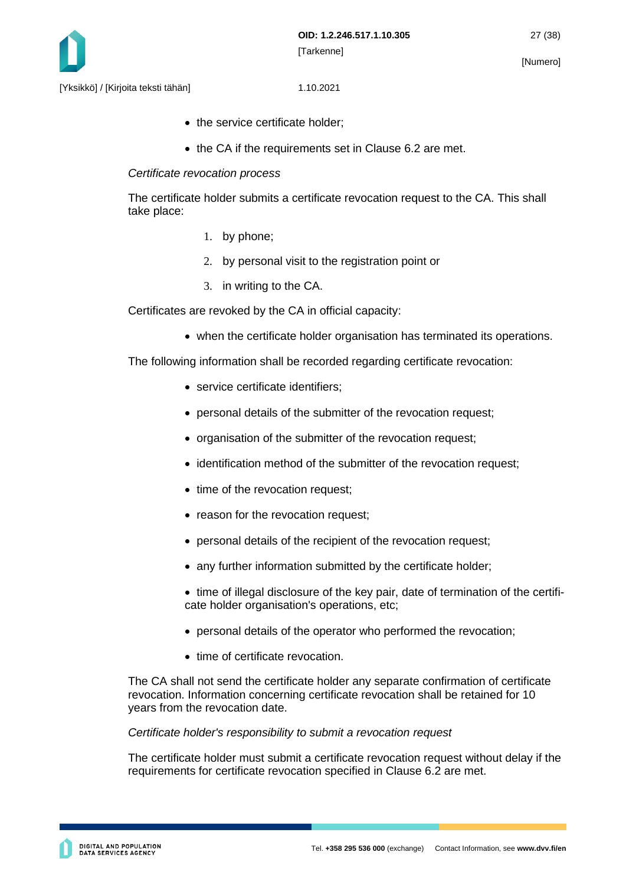

- the service certificate holder;
- the CA if the requirements set in Clause 6.2 are met.

#### *Certificate revocation process*

The certificate holder submits a certificate revocation request to the CA. This shall take place:

- 1. by phone;
- 2. by personal visit to the registration point or
- 3. in writing to the CA.

Certificates are revoked by the CA in official capacity:

• when the certificate holder organisation has terminated its operations.

The following information shall be recorded regarding certificate revocation:

- service certificate identifiers:
- personal details of the submitter of the revocation request;
- organisation of the submitter of the revocation request;
- identification method of the submitter of the revocation request;
- time of the revocation request;
- reason for the revocation request;
- personal details of the recipient of the revocation request;
- any further information submitted by the certificate holder;
- time of illegal disclosure of the key pair, date of termination of the certificate holder organisation's operations, etc;
- personal details of the operator who performed the revocation;
- time of certificate revocation.

The CA shall not send the certificate holder any separate confirmation of certificate revocation. Information concerning certificate revocation shall be retained for 10 years from the revocation date.

#### *Certificate holder's responsibility to submit a revocation request*

The certificate holder must submit a certificate revocation request without delay if the requirements for certificate revocation specified in Clause 6.2 are met.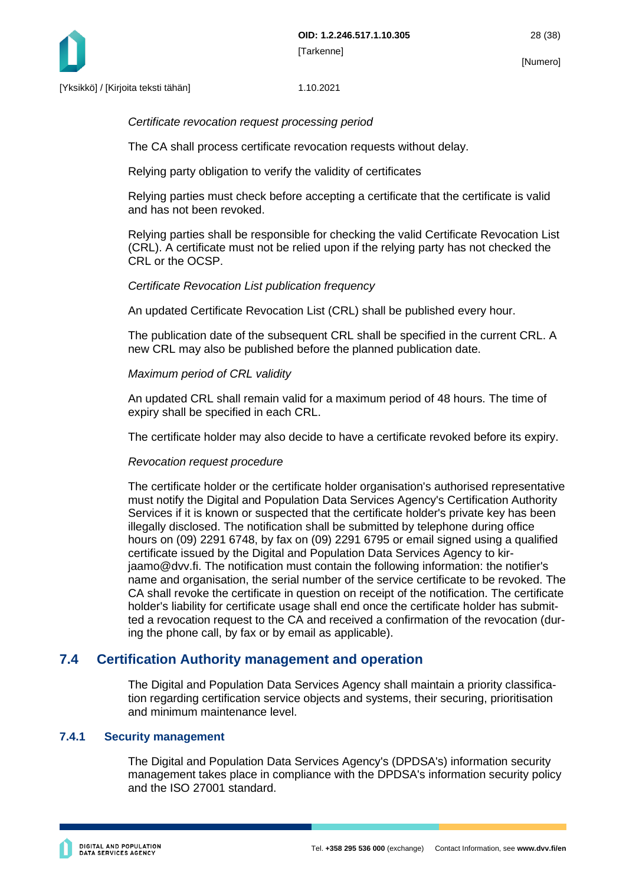

*Certificate revocation request processing period*

The CA shall process certificate revocation requests without delay.

Relying party obligation to verify the validity of certificates

Relying parties must check before accepting a certificate that the certificate is valid and has not been revoked.

Relying parties shall be responsible for checking the valid Certificate Revocation List (CRL). A certificate must not be relied upon if the relying party has not checked the CRL or the OCSP.

#### *Certificate Revocation List publication frequency*

An updated Certificate Revocation List (CRL) shall be published every hour.

The publication date of the subsequent CRL shall be specified in the current CRL. A new CRL may also be published before the planned publication date.

#### *Maximum period of CRL validity*

An updated CRL shall remain valid for a maximum period of 48 hours. The time of expiry shall be specified in each CRL.

The certificate holder may also decide to have a certificate revoked before its expiry.

#### *Revocation request procedure*

The certificate holder or the certificate holder organisation's authorised representative must notify the Digital and Population Data Services Agency's Certification Authority Services if it is known or suspected that the certificate holder's private key has been illegally disclosed. The notification shall be submitted by telephone during office hours on (09) 2291 6748, by fax on (09) 2291 6795 or email signed using a qualified certificate issued by the Digital and Population Data Services Agency to kirjaamo@dvv.fi. The notification must contain the following information: the notifier's name and organisation, the serial number of the service certificate to be revoked. The CA shall revoke the certificate in question on receipt of the notification. The certificate holder's liability for certificate usage shall end once the certificate holder has submitted a revocation request to the CA and received a confirmation of the revocation (during the phone call, by fax or by email as applicable).

### <span id="page-28-0"></span>**7.4 Certification Authority management and operation**

The Digital and Population Data Services Agency shall maintain a priority classification regarding certification service objects and systems, their securing, prioritisation and minimum maintenance level.

#### <span id="page-28-1"></span>**7.4.1 Security management**

The Digital and Population Data Services Agency's (DPDSA's) information security management takes place in compliance with the DPDSA's information security policy and the ISO 27001 standard.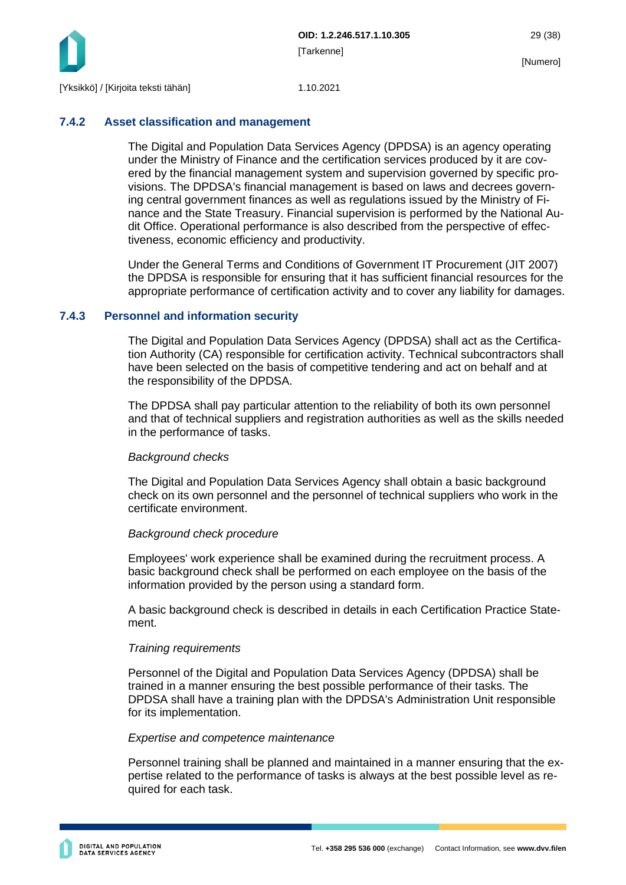

#### <span id="page-29-0"></span>**7.4.2 Asset classification and management**

The Digital and Population Data Services Agency (DPDSA) is an agency operating under the Ministry of Finance and the certification services produced by it are covered by the financial management system and supervision governed by specific provisions. The DPDSA's financial management is based on laws and decrees governing central government finances as well as regulations issued by the Ministry of Finance and the State Treasury. Financial supervision is performed by the National Audit Office. Operational performance is also described from the perspective of effectiveness, economic efficiency and productivity.

Under the General Terms and Conditions of Government IT Procurement (JIT 2007) the DPDSA is responsible for ensuring that it has sufficient financial resources for the appropriate performance of certification activity and to cover any liability for damages.

#### <span id="page-29-1"></span>**7.4.3 Personnel and information security**

The Digital and Population Data Services Agency (DPDSA) shall act as the Certification Authority (CA) responsible for certification activity. Technical subcontractors shall have been selected on the basis of competitive tendering and act on behalf and at the responsibility of the DPDSA.

The DPDSA shall pay particular attention to the reliability of both its own personnel and that of technical suppliers and registration authorities as well as the skills needed in the performance of tasks.

#### *Background checks*

The Digital and Population Data Services Agency shall obtain a basic background check on its own personnel and the personnel of technical suppliers who work in the certificate environment.

#### *Background check procedure*

Employees' work experience shall be examined during the recruitment process. A basic background check shall be performed on each employee on the basis of the information provided by the person using a standard form.

A basic background check is described in details in each Certification Practice Statement.

#### *Training requirements*

Personnel of the Digital and Population Data Services Agency (DPDSA) shall be trained in a manner ensuring the best possible performance of their tasks. The DPDSA shall have a training plan with the DPDSA's Administration Unit responsible for its implementation.

#### *Expertise and competence maintenance*

Personnel training shall be planned and maintained in a manner ensuring that the expertise related to the performance of tasks is always at the best possible level as required for each task.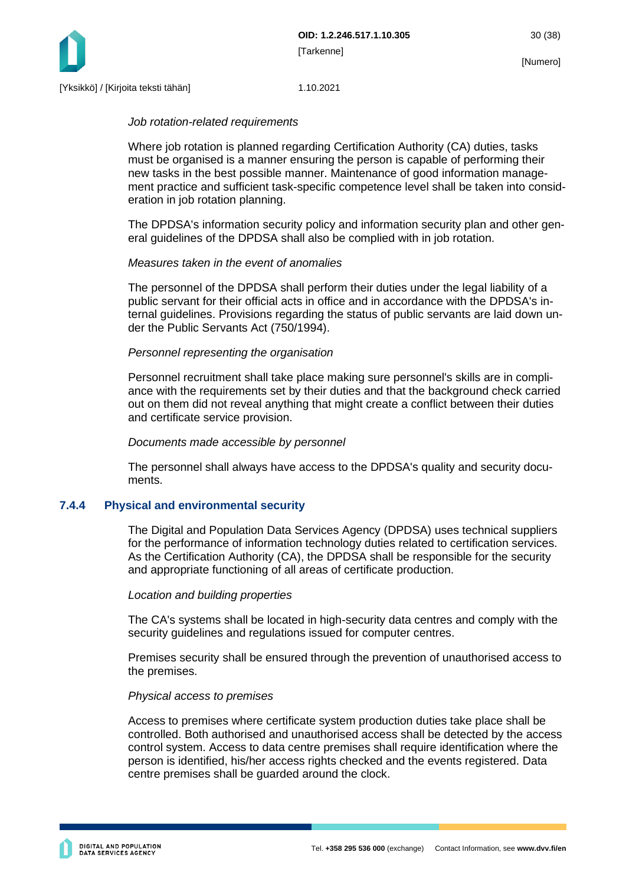

#### *Job rotation-related requirements*

Where job rotation is planned regarding Certification Authority (CA) duties, tasks must be organised is a manner ensuring the person is capable of performing their new tasks in the best possible manner. Maintenance of good information management practice and sufficient task-specific competence level shall be taken into consideration in job rotation planning.

The DPDSA's information security policy and information security plan and other general guidelines of the DPDSA shall also be complied with in job rotation.

#### *Measures taken in the event of anomalies*

The personnel of the DPDSA shall perform their duties under the legal liability of a public servant for their official acts in office and in accordance with the DPDSA's internal guidelines. Provisions regarding the status of public servants are laid down under the Public Servants Act (750/1994).

#### *Personnel representing the organisation*

Personnel recruitment shall take place making sure personnel's skills are in compliance with the requirements set by their duties and that the background check carried out on them did not reveal anything that might create a conflict between their duties and certificate service provision.

#### *Documents made accessible by personnel*

The personnel shall always have access to the DPDSA's quality and security documents.

#### <span id="page-30-0"></span>**7.4.4 Physical and environmental security**

The Digital and Population Data Services Agency (DPDSA) uses technical suppliers for the performance of information technology duties related to certification services. As the Certification Authority (CA), the DPDSA shall be responsible for the security and appropriate functioning of all areas of certificate production.

#### *Location and building properties*

The CA's systems shall be located in high-security data centres and comply with the security guidelines and regulations issued for computer centres.

Premises security shall be ensured through the prevention of unauthorised access to the premises.

#### *Physical access to premises*

Access to premises where certificate system production duties take place shall be controlled. Both authorised and unauthorised access shall be detected by the access control system. Access to data centre premises shall require identification where the person is identified, his/her access rights checked and the events registered. Data centre premises shall be guarded around the clock.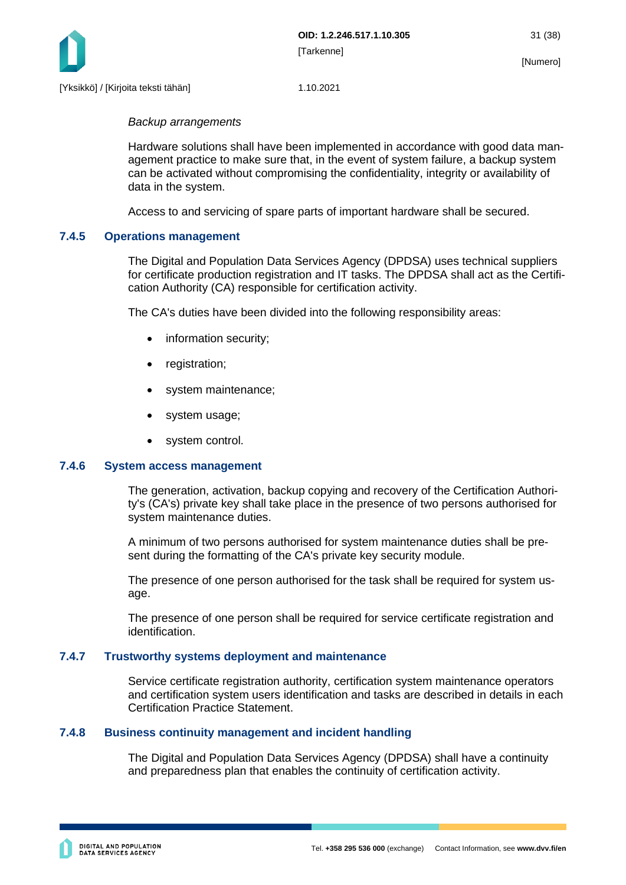

#### *Backup arrangements*

Hardware solutions shall have been implemented in accordance with good data management practice to make sure that, in the event of system failure, a backup system can be activated without compromising the confidentiality, integrity or availability of data in the system.

Access to and servicing of spare parts of important hardware shall be secured.

#### <span id="page-31-0"></span>**7.4.5 Operations management**

The Digital and Population Data Services Agency (DPDSA) uses technical suppliers for certificate production registration and IT tasks. The DPDSA shall act as the Certification Authority (CA) responsible for certification activity.

The CA's duties have been divided into the following responsibility areas:

- information security;
- registration;
- system maintenance:
- system usage;
- system control.

#### <span id="page-31-1"></span>**7.4.6 System access management**

The generation, activation, backup copying and recovery of the Certification Authority's (CA's) private key shall take place in the presence of two persons authorised for system maintenance duties.

A minimum of two persons authorised for system maintenance duties shall be present during the formatting of the CA's private key security module.

The presence of one person authorised for the task shall be required for system usage.

The presence of one person shall be required for service certificate registration and identification.

#### <span id="page-31-2"></span>**7.4.7 Trustworthy systems deployment and maintenance**

Service certificate registration authority, certification system maintenance operators and certification system users identification and tasks are described in details in each Certification Practice Statement.

#### <span id="page-31-3"></span>**7.4.8 Business continuity management and incident handling**

The Digital and Population Data Services Agency (DPDSA) shall have a continuity and preparedness plan that enables the continuity of certification activity.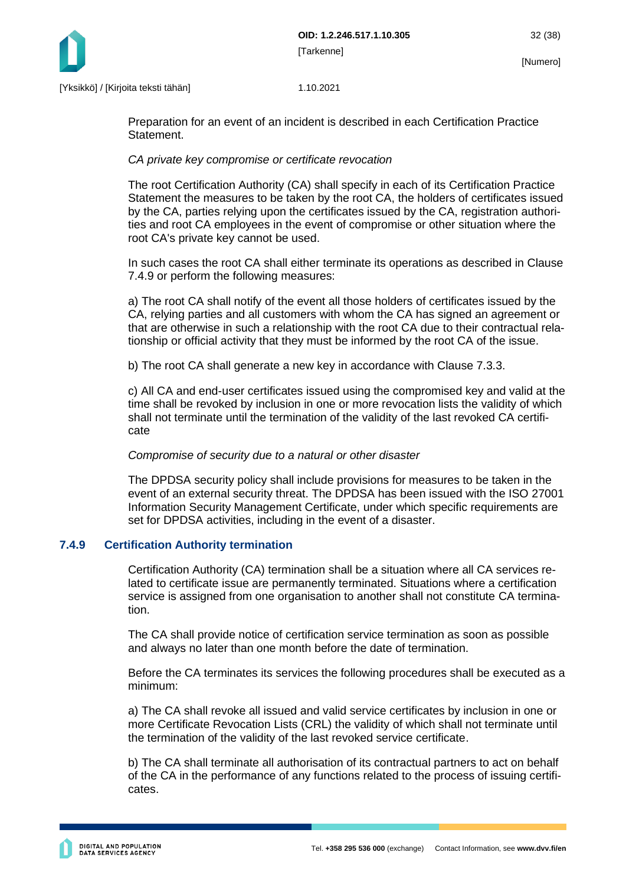

Preparation for an event of an incident is described in each Certification Practice Statement.

#### *CA private key compromise or certificate revocation*

The root Certification Authority (CA) shall specify in each of its Certification Practice Statement the measures to be taken by the root CA, the holders of certificates issued by the CA, parties relying upon the certificates issued by the CA, registration authorities and root CA employees in the event of compromise or other situation where the root CA's private key cannot be used.

In such cases the root CA shall either terminate its operations as described in Clause 7.4.9 or perform the following measures:

a) The root CA shall notify of the event all those holders of certificates issued by the CA, relying parties and all customers with whom the CA has signed an agreement or that are otherwise in such a relationship with the root CA due to their contractual relationship or official activity that they must be informed by the root CA of the issue.

b) The root CA shall generate a new key in accordance with Clause 7.3.3.

c) All CA and end-user certificates issued using the compromised key and valid at the time shall be revoked by inclusion in one or more revocation lists the validity of which shall not terminate until the termination of the validity of the last revoked CA certificate

#### *Compromise of security due to a natural or other disaster*

The DPDSA security policy shall include provisions for measures to be taken in the event of an external security threat. The DPDSA has been issued with the ISO 27001 Information Security Management Certificate, under which specific requirements are set for DPDSA activities, including in the event of a disaster.

#### <span id="page-32-0"></span>**7.4.9 Certification Authority termination**

Certification Authority (CA) termination shall be a situation where all CA services related to certificate issue are permanently terminated. Situations where a certification service is assigned from one organisation to another shall not constitute CA termination.

The CA shall provide notice of certification service termination as soon as possible and always no later than one month before the date of termination.

Before the CA terminates its services the following procedures shall be executed as a minimum:

a) The CA shall revoke all issued and valid service certificates by inclusion in one or more Certificate Revocation Lists (CRL) the validity of which shall not terminate until the termination of the validity of the last revoked service certificate.

b) The CA shall terminate all authorisation of its contractual partners to act on behalf of the CA in the performance of any functions related to the process of issuing certificates.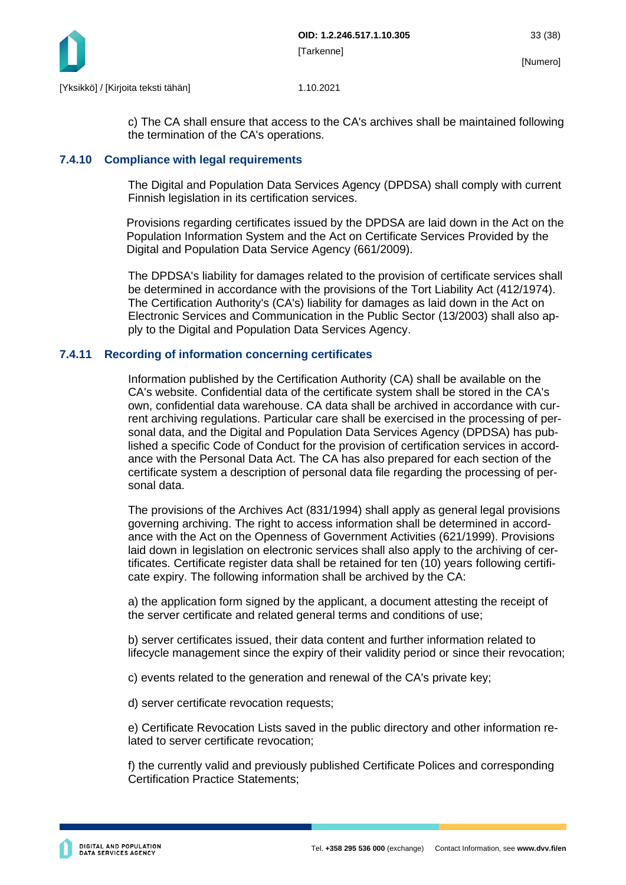

c) The CA shall ensure that access to the CA's archives shall be maintained following the termination of the CA's operations.

#### <span id="page-33-0"></span>**7.4.10 Compliance with legal requirements**

The Digital and Population Data Services Agency (DPDSA) shall comply with current Finnish legislation in its certification services.

Provisions regarding certificates issued by the DPDSA are laid down in the Act on the Population Information System and the Act on Certificate Services Provided by the Digital and Population Data Service Agency (661/2009).

The DPDSA's liability for damages related to the provision of certificate services shall be determined in accordance with the provisions of the Tort Liability Act (412/1974). The Certification Authority's (CA's) liability for damages as laid down in the Act on Electronic Services and Communication in the Public Sector (13/2003) shall also apply to the Digital and Population Data Services Agency.

#### <span id="page-33-1"></span>**7.4.11 Recording of information concerning certificates**

Information published by the Certification Authority (CA) shall be available on the CA's website. Confidential data of the certificate system shall be stored in the CA's own, confidential data warehouse. CA data shall be archived in accordance with current archiving regulations. Particular care shall be exercised in the processing of personal data, and the Digital and Population Data Services Agency (DPDSA) has published a specific Code of Conduct for the provision of certification services in accordance with the Personal Data Act. The CA has also prepared for each section of the certificate system a description of personal data file regarding the processing of personal data.

The provisions of the Archives Act (831/1994) shall apply as general legal provisions governing archiving. The right to access information shall be determined in accordance with the Act on the Openness of Government Activities (621/1999). Provisions laid down in legislation on electronic services shall also apply to the archiving of certificates. Certificate register data shall be retained for ten (10) years following certificate expiry. The following information shall be archived by the CA:

a) the application form signed by the applicant, a document attesting the receipt of the server certificate and related general terms and conditions of use;

b) server certificates issued, their data content and further information related to lifecycle management since the expiry of their validity period or since their revocation;

c) events related to the generation and renewal of the CA's private key;

d) server certificate revocation requests;

e) Certificate Revocation Lists saved in the public directory and other information related to server certificate revocation;

f) the currently valid and previously published Certificate Polices and corresponding Certification Practice Statements;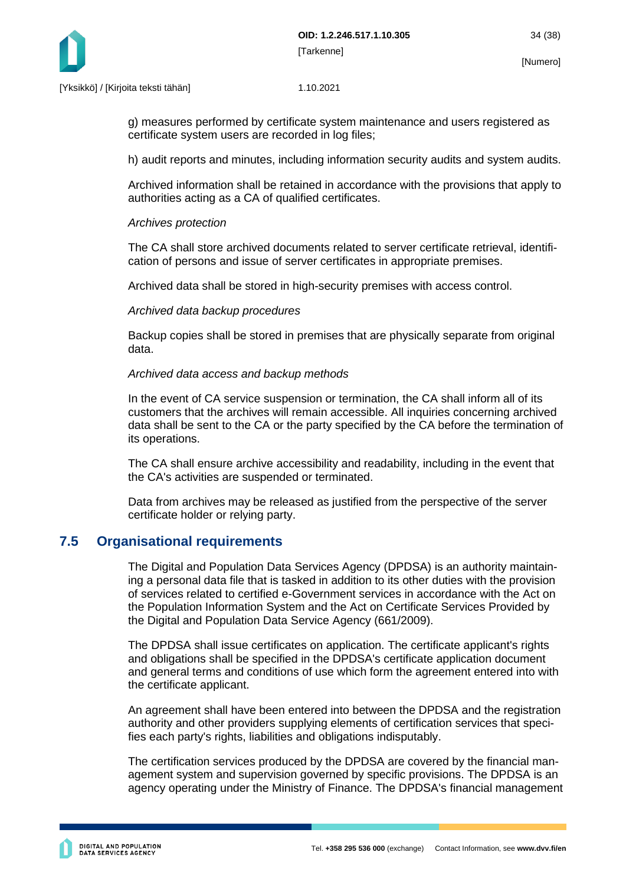

g) measures performed by certificate system maintenance and users registered as certificate system users are recorded in log files;

h) audit reports and minutes, including information security audits and system audits.

Archived information shall be retained in accordance with the provisions that apply to authorities acting as a CA of qualified certificates.

#### *Archives protection*

The CA shall store archived documents related to server certificate retrieval, identification of persons and issue of server certificates in appropriate premises.

Archived data shall be stored in high-security premises with access control.

#### *Archived data backup procedures*

Backup copies shall be stored in premises that are physically separate from original data.

#### *Archived data access and backup methods*

In the event of CA service suspension or termination, the CA shall inform all of its customers that the archives will remain accessible. All inquiries concerning archived data shall be sent to the CA or the party specified by the CA before the termination of its operations.

The CA shall ensure archive accessibility and readability, including in the event that the CA's activities are suspended or terminated.

Data from archives may be released as justified from the perspective of the server certificate holder or relying party.

### <span id="page-34-0"></span>**7.5 Organisational requirements**

The Digital and Population Data Services Agency (DPDSA) is an authority maintaining a personal data file that is tasked in addition to its other duties with the provision of services related to certified e-Government services in accordance with the Act on the Population Information System and the Act on Certificate Services Provided by the Digital and Population Data Service Agency (661/2009).

The DPDSA shall issue certificates on application. The certificate applicant's rights and obligations shall be specified in the DPDSA's certificate application document and general terms and conditions of use which form the agreement entered into with the certificate applicant.

An agreement shall have been entered into between the DPDSA and the registration authority and other providers supplying elements of certification services that specifies each party's rights, liabilities and obligations indisputably.

The certification services produced by the DPDSA are covered by the financial management system and supervision governed by specific provisions. The DPDSA is an agency operating under the Ministry of Finance. The DPDSA's financial management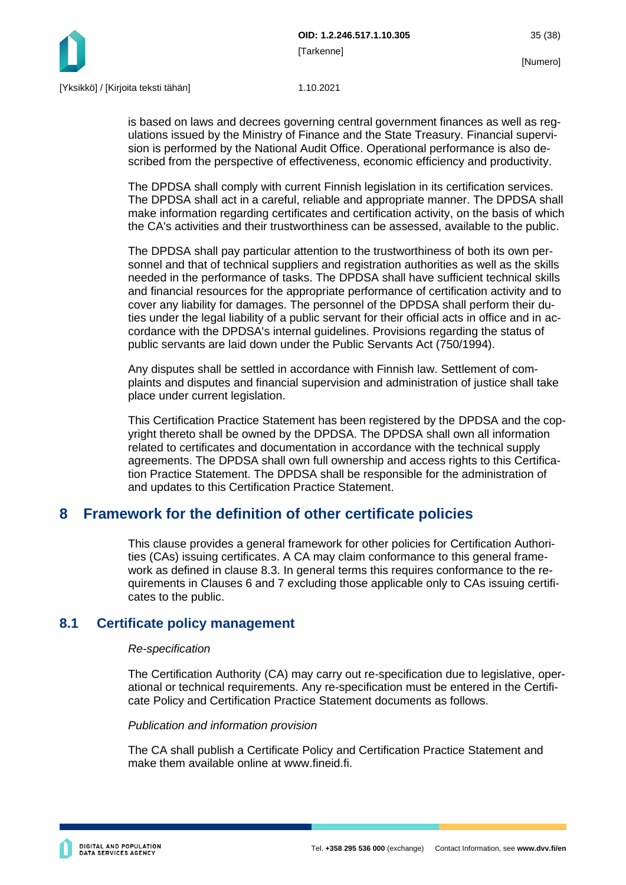

is based on laws and decrees governing central government finances as well as regulations issued by the Ministry of Finance and the State Treasury. Financial supervision is performed by the National Audit Office. Operational performance is also described from the perspective of effectiveness, economic efficiency and productivity.

The DPDSA shall comply with current Finnish legislation in its certification services. The DPDSA shall act in a careful, reliable and appropriate manner. The DPDSA shall make information regarding certificates and certification activity, on the basis of which the CA's activities and their trustworthiness can be assessed, available to the public.

The DPDSA shall pay particular attention to the trustworthiness of both its own personnel and that of technical suppliers and registration authorities as well as the skills needed in the performance of tasks. The DPDSA shall have sufficient technical skills and financial resources for the appropriate performance of certification activity and to cover any liability for damages. The personnel of the DPDSA shall perform their duties under the legal liability of a public servant for their official acts in office and in accordance with the DPDSA's internal guidelines. Provisions regarding the status of public servants are laid down under the Public Servants Act (750/1994).

Any disputes shall be settled in accordance with Finnish law. Settlement of complaints and disputes and financial supervision and administration of justice shall take place under current legislation.

This Certification Practice Statement has been registered by the DPDSA and the copyright thereto shall be owned by the DPDSA. The DPDSA shall own all information related to certificates and documentation in accordance with the technical supply agreements. The DPDSA shall own full ownership and access rights to this Certification Practice Statement. The DPDSA shall be responsible for the administration of and updates to this Certification Practice Statement.

# <span id="page-35-0"></span>**8 Framework for the definition of other certificate policies**

This clause provides a general framework for other policies for Certification Authorities (CAs) issuing certificates. A CA may claim conformance to this general framework as defined in clause 8.3. In general terms this requires conformance to the requirements in Clauses 6 and 7 excluding those applicable only to CAs issuing certificates to the public.

# <span id="page-35-1"></span>**8.1 Certificate policy management**

#### *Re-specification*

The Certification Authority (CA) may carry out re-specification due to legislative, operational or technical requirements. Any re-specification must be entered in the Certificate Policy and Certification Practice Statement documents as follows.

#### *Publication and information provision*

The CA shall publish a Certificate Policy and Certification Practice Statement and make them available online at www.fineid.fi.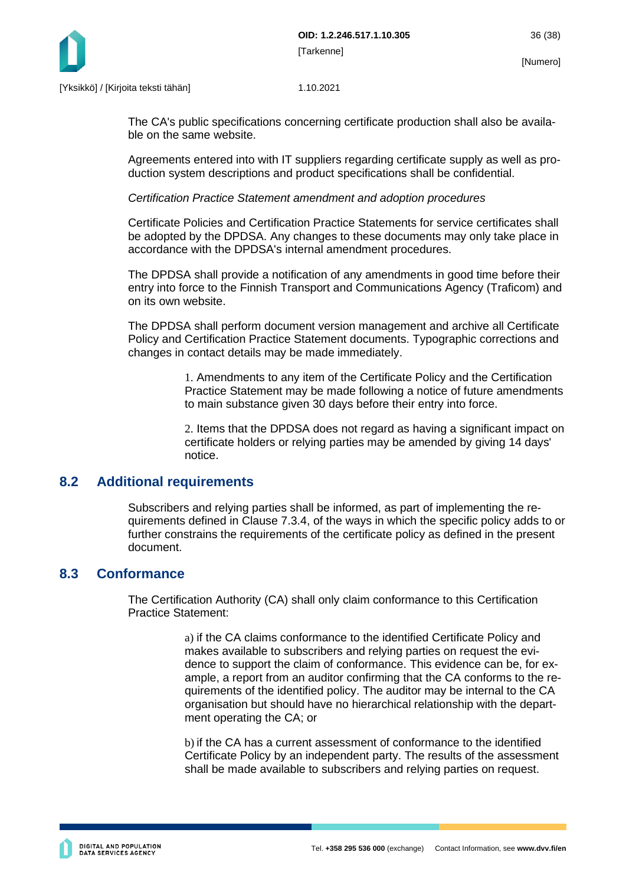

The CA's public specifications concerning certificate production shall also be available on the same website.

Agreements entered into with IT suppliers regarding certificate supply as well as production system descriptions and product specifications shall be confidential.

#### *Certification Practice Statement amendment and adoption procedures*

Certificate Policies and Certification Practice Statements for service certificates shall be adopted by the DPDSA. Any changes to these documents may only take place in accordance with the DPDSA's internal amendment procedures.

The DPDSA shall provide a notification of any amendments in good time before their entry into force to the Finnish Transport and Communications Agency (Traficom) and on its own website.

The DPDSA shall perform document version management and archive all Certificate Policy and Certification Practice Statement documents. Typographic corrections and changes in contact details may be made immediately.

> 1. Amendments to any item of the Certificate Policy and the Certification Practice Statement may be made following a notice of future amendments to main substance given 30 days before their entry into force.

> 2. Items that the DPDSA does not regard as having a significant impact on certificate holders or relying parties may be amended by giving 14 days' notice.

### <span id="page-36-0"></span>**8.2 Additional requirements**

Subscribers and relying parties shall be informed, as part of implementing the requirements defined in Clause 7.3.4, of the ways in which the specific policy adds to or further constrains the requirements of the certificate policy as defined in the present document.

### <span id="page-36-1"></span>**8.3 Conformance**

The Certification Authority (CA) shall only claim conformance to this Certification Practice Statement:

> a) if the CA claims conformance to the identified Certificate Policy and makes available to subscribers and relying parties on request the evidence to support the claim of conformance. This evidence can be, for example, a report from an auditor confirming that the CA conforms to the requirements of the identified policy. The auditor may be internal to the CA organisation but should have no hierarchical relationship with the department operating the CA; or

> b) if the CA has a current assessment of conformance to the identified Certificate Policy by an independent party. The results of the assessment shall be made available to subscribers and relying parties on request.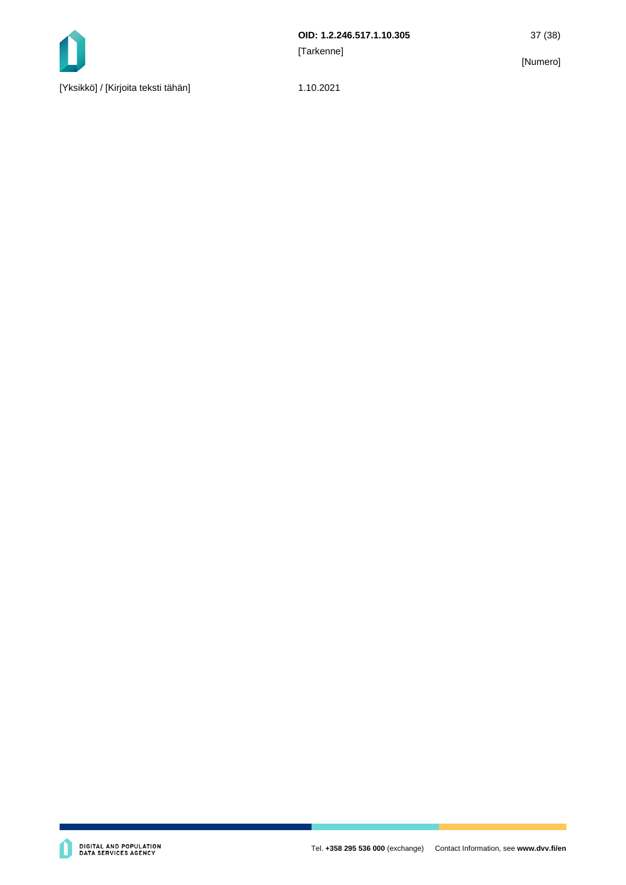